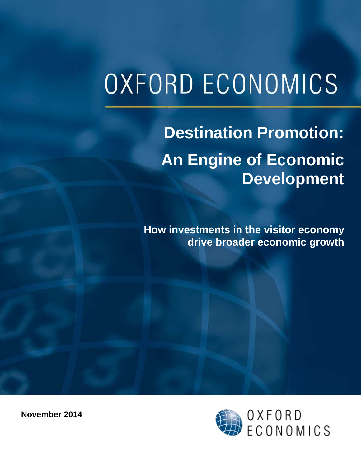# **OXFORD ECONOMICS**

## **Destination Promotion: An Engine of Economic Development**

**How investments in the visitor economy drive broader economic growth**



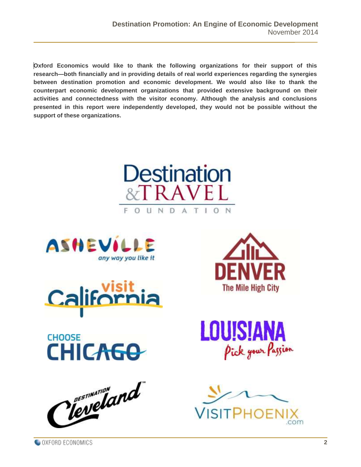**Oxford Economics would like to thank the following organizations for their support of this research—both financially and in providing details of real world experiences regarding the synergies between destination promotion and economic development. We would also like to thank the counterpart economic development organizations that provided extensive background on their activities and connectedness with the visitor economy. Although the analysis and conclusions presented in this report were independently developed, they would not be possible without the support of these organizations.**















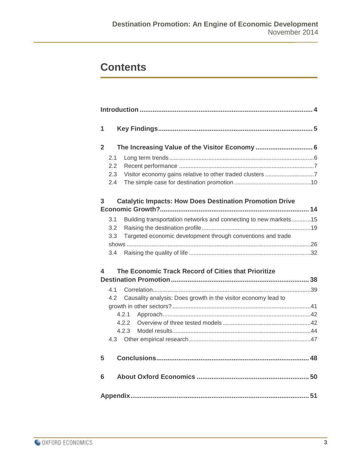## **Contents**

| 1            |                                                                |                                                                  |  |  |  |  |
|--------------|----------------------------------------------------------------|------------------------------------------------------------------|--|--|--|--|
| $\mathbf{2}$ |                                                                |                                                                  |  |  |  |  |
|              | 2.1                                                            |                                                                  |  |  |  |  |
|              | 2.2                                                            |                                                                  |  |  |  |  |
|              | 2.3                                                            |                                                                  |  |  |  |  |
|              | 2.4                                                            |                                                                  |  |  |  |  |
| 3            | <b>Catalytic Impacts: How Does Destination Promotion Drive</b> |                                                                  |  |  |  |  |
|              | 3.1                                                            | Building transportation networks and connecting to new markets15 |  |  |  |  |
|              | 3.2                                                            |                                                                  |  |  |  |  |
|              | 3.3                                                            | Targeted economic development through conventions and trade      |  |  |  |  |
|              |                                                                |                                                                  |  |  |  |  |
|              | 3.4                                                            |                                                                  |  |  |  |  |
| 4            |                                                                | The Economic Track Record of Cities that Prioritize              |  |  |  |  |
|              | 4.1                                                            |                                                                  |  |  |  |  |
|              | 4.2                                                            | Causality analysis: Does growth in the visitor economy lead to   |  |  |  |  |
|              |                                                                |                                                                  |  |  |  |  |
|              | 4.2.1                                                          |                                                                  |  |  |  |  |
|              | 4.2.2                                                          |                                                                  |  |  |  |  |
|              | 4.2.3                                                          |                                                                  |  |  |  |  |
|              |                                                                |                                                                  |  |  |  |  |
| 5            |                                                                |                                                                  |  |  |  |  |
| 6            |                                                                |                                                                  |  |  |  |  |
|              |                                                                |                                                                  |  |  |  |  |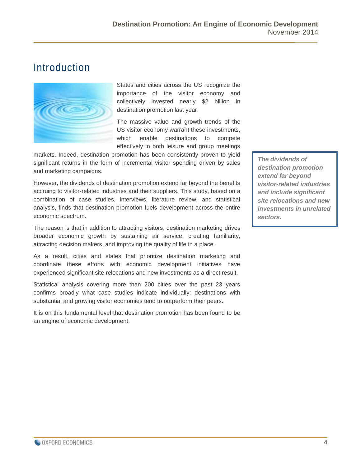## <span id="page-3-0"></span>Introduction



States and cities across the US recognize the importance of the visitor economy and collectively invested nearly \$2 billion in destination promotion last year.

The massive value and growth trends of the US visitor economy warrant these investments, which enable destinations to compete effectively in both leisure and group meetings

markets. Indeed, destination promotion has been consistently proven to yield significant returns in the form of incremental visitor spending driven by sales and marketing campaigns.

However, the dividends of destination promotion extend far beyond the benefits accruing to visitor-related industries and their suppliers. This study, based on a combination of case studies, interviews, literature review, and statistical analysis, finds that destination promotion fuels development across the entire economic spectrum.

The reason is that in addition to attracting visitors, destination marketing drives broader economic growth by sustaining air service, creating familiarity, attracting decision makers, and improving the quality of life in a place.

As a result, cities and states that prioritize destination marketing and coordinate these efforts with economic development initiatives have experienced significant site relocations and new investments as a direct result.

Statistical analysis covering more than 200 cities over the past 23 years confirms broadly what case studies indicate individually: destinations with substantial and growing visitor economies tend to outperform their peers.

It is on this fundamental level that destination promotion has been found to be an engine of economic development.

*The dividends of destination promotion extend far beyond visitor-related industries and include significant site relocations and new investments in unrelated sectors.*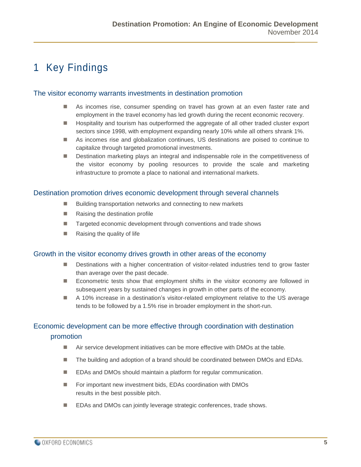## <span id="page-4-0"></span>1 Key Findings

#### The visitor economy warrants investments in destination promotion

- As incomes rise, consumer spending on travel has grown at an even faster rate and employment in the travel economy has led growth during the recent economic recovery.
- **Hospitality and tourism has outperformed the aggregate of all other traded cluster export** sectors since 1998, with employment expanding nearly 10% while all others shrank 1%.
- As incomes rise and globalization continues, US destinations are poised to continue to capitalize through targeted promotional investments.
- Destination marketing plays an integral and indispensable role in the competitiveness of the visitor economy by pooling resources to provide the scale and marketing infrastructure to promote a place to national and international markets.

#### Destination promotion drives economic development through several channels

- Building transportation networks and connecting to new markets
- Raising the destination profile
- Targeted economic development through conventions and trade shows
- Raising the quality of life

#### Growth in the visitor economy drives growth in other areas of the economy

- **Destinations with a higher concentration of visitor-related industries tend to grow faster** than average over the past decade.
- **E** Econometric tests show that employment shifts in the visitor economy are followed in subsequent years by sustained changes in growth in other parts of the economy.
- A 10% increase in a destination's visitor-related employment relative to the US average tends to be followed by a 1.5% rise in broader employment in the short-run.

#### Economic development can be more effective through coordination with destination promotion

- Air service development initiatives can be more effective with DMOs at the table.
- The building and adoption of a brand should be coordinated between DMOs and EDAs.
- EDAs and DMOs should maintain a platform for regular communication.
- For important new investment bids, EDAs coordination with DMOs results in the best possible pitch.
- EDAs and DMOs can jointly leverage strategic conferences, trade shows.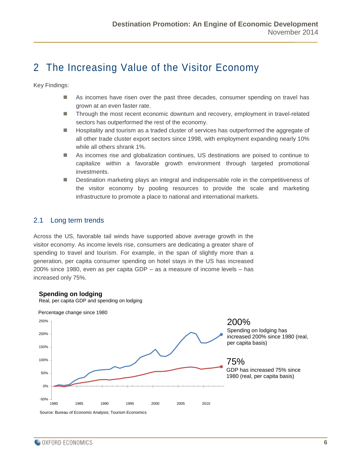## <span id="page-5-0"></span>2 The Increasing Value of the Visitor Economy

Key Findings:

- As incomes have risen over the past three decades, consumer spending on travel has grown at an even faster rate.
- Through the most recent economic downturn and recovery, employment in travel-related sectors has outperformed the rest of the economy.
- **Hospitality and tourism as a traded cluster of services has outperformed the aggregate of** all other trade cluster export sectors since 1998, with employment expanding nearly 10% while all others shrank 1%.
- As incomes rise and globalization continues, US destinations are poised to continue to capitalize within a favorable growth environment through targeted promotional investments.
- **Destination marketing plays an integral and indispensable role in the competitiveness of** the visitor economy by pooling resources to provide the scale and marketing infrastructure to promote a place to national and international markets.

#### <span id="page-5-1"></span>2.1 Long term trends

Across the US, favorable tail winds have supported above average growth in the visitor economy. As income levels rise, consumers are dedicating a greater share of spending to travel and tourism. For example, in the span of slightly more than a generation, per capita consumer spending on hotel stays in the US has increased 200% since 1980, even as per capita GDP – as a measure of income levels – has increased only 75%.

#### **Spending on lodging**

Real, per capita GDP and spending on lodging

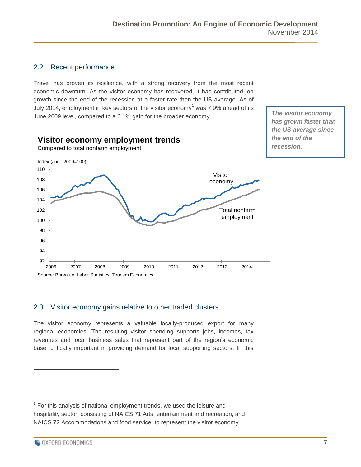#### <span id="page-6-0"></span>2.2 Recent performance

Travel has proven its resilience, with a strong recovery from the most recent economic downturn. As the visitor economy has recovered, it has contributed job growth since the end of the recession at a faster rate than the US average. As of July 2014, employment in key sectors of the visitor economy<sup>1</sup> was 7.9% ahead of its June 2009 level, compared to a 6.1% gain for the broader economy.



<span id="page-6-1"></span>2.3 Visitor economy gains relative to other traded clusters

The visitor economy represents a valuable locally-produced export for many regional economies. The resulting visitor spending supports jobs, incomes, tax revenues and local business sales that represent part of the region's economic base, critically important in providing demand for local supporting sectors. In this

 $\overline{a}$ 

*The visitor economy has grown faster than* 

 $1$  For this analysis of national employment trends, we used the leisure and hospitality sector, consisting of NAICS 71 Arts, entertainment and recreation, and NAICS 72 Accommodations and food service, to represent the visitor economy.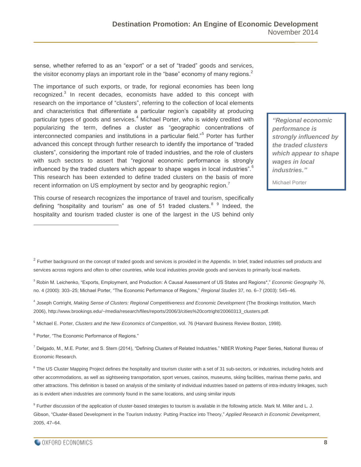sense, whether referred to as an "export" or a set of "traded" goods and services, the visitor economy plays an important role in the "base" economy of many regions. $<sup>2</sup>$ </sup>

The importance of such exports, or trade, for regional economies has been long recognized.<sup>3</sup> In recent decades, economists have added to this concept with research on the importance of "clusters", referring to the collection of local elements and characteristics that differentiate a particular region's capability at producing particular types of goods and services.<sup>4</sup> Michael Porter, who is widely credited with popularizing the term, defines a cluster as "geographic concentrations of interconnected companies and institutions in a particular field."<sup>5</sup> Porter has further advanced this concept through further research to identify the importance of "traded clusters", considering the important role of traded industries, and the role of clusters with such sectors to assert that "regional economic performance is strongly influenced by the traded clusters which appear to shape wages in local industries".<sup>6</sup> This research has been extended to define traded clusters on the basis of more recent information on US employment by sector and by geographic region.<sup>7</sup>

*"Regional economic performance is strongly influenced by the traded clusters which appear to shape wages in local industries."*

Michael Porter

This course of research recognizes the importance of travel and tourism, specifically defining "hospitality and tourism" as one of 51 traded clusters.<sup>8 9</sup> Indeed, the hospitality and tourism traded cluster is one of the largest in the US behind only

<sup>6</sup> Porter, "The Economic Performance of Regions."

 $\overline{a}$ 

 $^7$  Delgado, M., M.E. Porter, and S. Stern (2014), "Defining Clusters of Related Industries." NBER Working Paper Series, National Bureau of Economic Research.

<sup>8</sup> The US Cluster Mapping Project defines the hospitality and tourism cluster with a set of 31 sub-sectors, or industries, including hotels and other accommodations, as well as sightseeing transportation, sport venues, casinos, museums, skiing facilities, marinas theme parks, and other attractions. This definition is based on analysis of the similarity of individual industries based on patterns of intra-industry linkages, such as is evident when industries are commonly found in the same locations, and using similar inputs

 $2$  Further background on the concept of traded goods and services is provided in the Appendix. In brief, traded industries sell products and services across regions and often to other countries, while local industries provide goods and services to primarily local markets.

<sup>3</sup> Robin M. Leichenko, "Exports, Employment, and Production: A Causal Assessment of US States and Regions\*," *Economic Geography* 76, no. 4 (2000): 303–25; Michael Porter, "The Economic Performance of Regions," *Regional Studies* 37, no. 6–7 (2003): 545–46.

<sup>4</sup> Joseph Cortright, *Making Sense of Clusters: Regional Competitiveness and Economic Development* (The Brookings Institution, March 2006), http://www.brookings.edu/~/media/research/files/reports/2006/3/cities%20cortright/20060313\_clusters.pdf.

<sup>5</sup> Michael E. Porter, *Clusters and the New Economics of Competition*, vol. 76 (Harvard Business Review Boston, 1998).

<sup>&</sup>lt;sup>9</sup> Further discussion of the application of cluster-based strategies to tourism is available in the following article. Mark M. Miller and L. J. Gibson, "Cluster-Based Development in the Tourism Industry: Putting Practice into Theory," *Applied Research in Economic Development*, 2005, 47–64.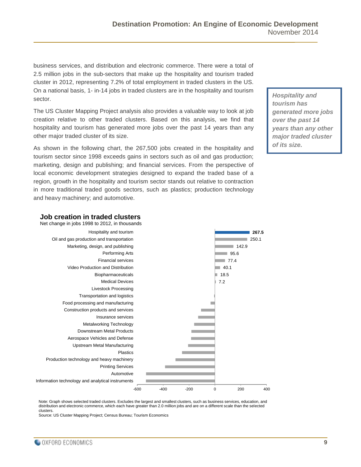business services, and distribution and electronic commerce. There were a total of 2.5 million jobs in the sub-sectors that make up the hospitality and tourism traded cluster in 2012, representing 7.2% of total employment in traded clusters in the US. On a national basis, 1- in-14 jobs in traded clusters are in the hospitality and tourism sector.

The US Cluster Mapping Project analysis also provides a valuable way to look at job creation relative to other traded clusters. Based on this analysis, we find that hospitality and tourism has generated more jobs over the past 14 years than any other major traded cluster of its size.

As shown in the following chart, the 267,500 jobs created in the hospitality and tourism sector since 1998 exceeds gains in sectors such as oil and gas production; marketing, design and publishing; and financial services. From the perspective of local economic development strategies designed to expand the traded base of a region, growth in the hospitality and tourism sector stands out relative to contraction in more traditional traded goods sectors, such as plastics; production technology and heavy machinery; and automotive.

*Hospitality and tourism has generated more jobs over the past 14 years than any other major traded cluster of its size.*



**Job creation in traded clusters**

Note: Graph shows selected traded clusters. Excludes the largest and smallest clusters, such as business services, education, and distribution and electronic commerce, which each have greater than 2.0 million jobs and are on a different scale than the selected clusters.

Source: US Cluster Mapping Project; Census Bureau; Tourism Economics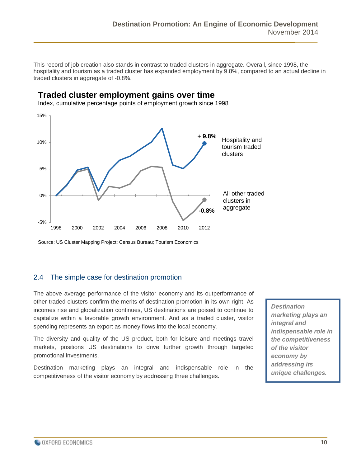This record of job creation also stands in contrast to traded clusters in aggregate. Overall, since 1998, the hospitality and tourism as a traded cluster has expanded employment by 9.8%, compared to an actual decline in traded clusters in aggregate of -0.8%.

## **Traded cluster employment gains over time**

Index, cumulative percentage points of employment growth since 1998



Source: US Cluster Mapping Project; Census Bureau; Tourism Economics

#### <span id="page-9-0"></span>2.4 The simple case for destination promotion

The above average performance of the visitor economy and its outperformance of other traded clusters confirm the merits of destination promotion in its own right. As incomes rise and globalization continues, US destinations are poised to continue to capitalize within a favorable growth environment. And as a traded cluster, visitor spending represents an export as money flows into the local economy.

The diversity and quality of the US product, both for leisure and meetings travel markets, positions US destinations to drive further growth through targeted promotional investments.

Destination marketing plays an integral and indispensable role in the competitiveness of the visitor economy by addressing three challenges.

*Destination marketing plays an integral and indispensable role in the competitiveness of the visitor economy by addressing its unique challenges.*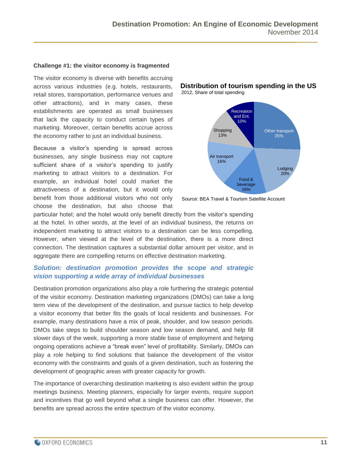#### **Challenge #1: the visitor economy is fragmented**

The visitor economy is diverse with benefits accruing across various industries (e.g. hotels, restaurants, retail stores, transportation, performance venues and other attractions), and in many cases, these establishments are operated as small businesses that lack the capacity to conduct certain types of marketing. Moreover, certain benefits accrue across the economy rather to just an individual business.

Because a visitor's spending is spread across businesses, any single business may not capture sufficient share of a visitor's spending to justify marketing to attract visitors to a destination. For example, an individual hotel could market the attractiveness of a destination, but it would only benefit from those additional visitors who not only choose the destination, but also choose that

**Distribution of tourism spending in the US** 2012, Share of total spending



Source: BEA Travel & Tourism Satellite Account

particular hotel; and the hotel would only benefit directly from the visitor's spending at the hotel. In other words, at the level of an individual business, the returns on independent marketing to attract visitors to a destination can be less compelling. However, when viewed at the level of the destination, there is a more direct connection. The destination captures a substantial dollar amount per visitor, and in aggregate there are compelling returns on effective destination marketing.

#### *Solution: destination promotion provides the scope and strategic vision supporting a wide array of individual businesses*

Destination promotion organizations also play a role furthering the strategic potential of the visitor economy. Destination marketing organizations (DMOs) can take a long term view of the development of the destination, and pursue tactics to help develop a visitor economy that better fits the goals of local residents and businesses. For example, many destinations have a mix of peak, shoulder, and low season periods. DMOs take steps to build shoulder season and low season demand, and help fill slower days of the week, supporting a more stable base of employment and helping ongoing operations achieve a "break even" level of profitability. Similarly, DMOs can play a role helping to find solutions that balance the development of the visitor economy with the constraints and goals of a given destination, such as fostering the development of geographic areas with greater capacity for growth.

The importance of overarching destination marketing is also evident within the group meetings business. Meeting planners, especially for larger events, require support and incentives that go well beyond what a single business can offer. However, the benefits are spread across the entire spectrum of the visitor economy.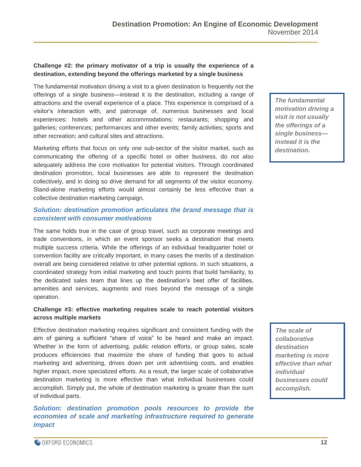#### **Challenge #2: the primary motivator of a trip is usually the experience of a destination, extending beyond the offerings marketed by a single business**

The fundamental motivation driving a visit to a given destination is frequently not the offerings of a single business—instead it is the destination, including a range of attractions and the overall experience of a place. This experience is comprised of a visitor's interaction with, and patronage of, numerous businesses and local experiences: hotels and other accommodations; restaurants; shopping and galleries; conferences; performances and other events; family activities; sports and other recreation; and cultural sites and attractions.

Marketing efforts that focus on only one sub-sector of the visitor market, such as communicating the offering of a specific hotel or other business, do not also adequately address the core motivation for potential visitors. Through coordinated destination promotion, local businesses are able to represent the destination collectively, and in doing so drive demand for all segments of the visitor economy. Stand-alone marketing efforts would almost certainly be less effective than a collective destination marketing campaign.

#### *Solution: destination promotion articulates the brand message that is consistent with consumer motivations*

The same holds true in the case of group travel, such as corporate meetings and trade conventions, in which an event sponsor seeks a destination that meets multiple success criteria. While the offerings of an individual headquarter hotel or convention facility are critically important, in many cases the merits of a destination overall are being considered relative to other potential options. In such situations, a coordinated strategy from initial marketing and touch points that build familiarity, to the dedicated sales team that lines up the destination's best offer of facilities, amenities and services, augments and rises beyond the message of a single operation.

#### **Challenge #3: effective marketing requires scale to reach potential visitors across multiple markets**

Effective destination marketing requires significant and consistent funding with the aim of gaining a sufficient "share of voice" to be heard and make an impact. Whether in the form of advertising, public relation efforts, or group sales, scale produces efficiencies that maximize the share of funding that goes to actual marketing and advertising, drives down per unit advertising costs, and enables higher impact, more specialized efforts. As a result, the larger scale of collaborative destination marketing is more effective than what individual businesses could accomplish. Simply put, the whole of destination marketing is greater than the sum of individual parts.

*Solution: destination promotion pools resources to provide the economies of scale and marketing infrastructure required to generate impact* 

*The fundamental motivation driving a visit is not usually the offerings of a single business instead it is the destination.*

*The scale of collaborative destination marketing is more effective than what individual businesses could accomplish.*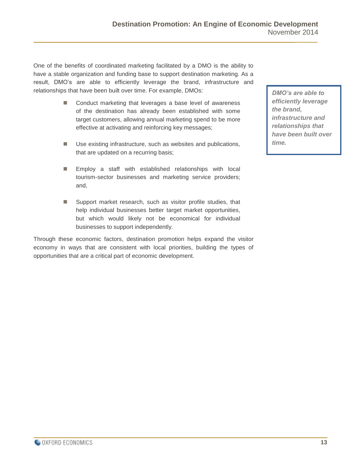One of the benefits of coordinated marketing facilitated by a DMO is the ability to have a stable organization and funding base to support destination marketing. As a result, DMO's are able to efficiently leverage the brand, infrastructure and relationships that have been built over time. For example, DMOs:

- Conduct marketing that leverages a base level of awareness of the destination has already been established with some target customers, allowing annual marketing spend to be more effective at activating and reinforcing key messages;
- Use existing infrastructure, such as websites and publications, that are updated on a recurring basis;
- **Employ a staff with established relationships with local** tourism-sector businesses and marketing service providers; and,
- Support market research, such as visitor profile studies, that help individual businesses better target market opportunities, but which would likely not be economical for individual businesses to support independently.

Through these economic factors, destination promotion helps expand the visitor economy in ways that are consistent with local priorities, building the types of opportunities that are a critical part of economic development.

*DMO's are able to efficiently leverage the brand, infrastructure and relationships that have been built over time.*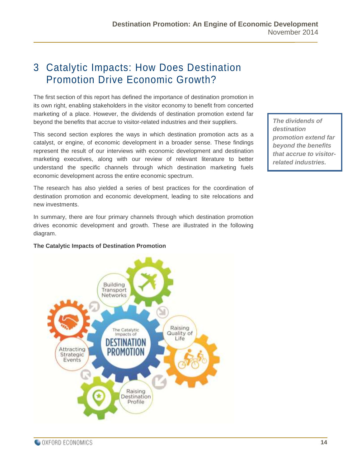## <span id="page-13-0"></span>3 Catalytic Impacts: How Does Destination Promotion Drive Economic Growth?

The first section of this report has defined the importance of destination promotion in its own right, enabling stakeholders in the visitor economy to benefit from concerted marketing of a place. However, the dividends of destination promotion extend far beyond the benefits that accrue to visitor-related industries and their suppliers.

This second section explores the ways in which destination promotion acts as a catalyst, or engine, of economic development in a broader sense. These findings represent the result of our interviews with economic development and destination marketing executives, along with our review of relevant literature to better understand the specific channels through which destination marketing fuels economic development across the entire economic spectrum.

The research has also yielded a series of best practices for the coordination of destination promotion and economic development, leading to site relocations and new investments.

In summary, there are four primary channels through which destination promotion drives economic development and growth. These are illustrated in the following diagram.

#### **The Catalytic Impacts of Destination Promotion**



*The dividends of destination promotion extend far beyond the benefits that accrue to visitorrelated industries.*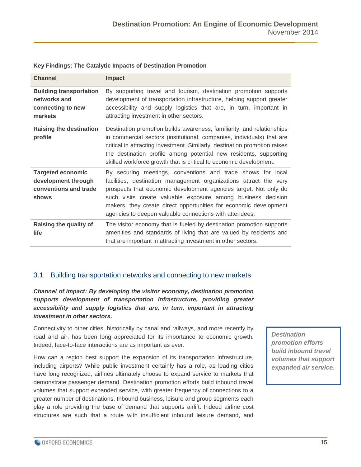| <b>Channel</b>                                                                    | <b>Impact</b>                                                                                                                                                                                                                                                                                                                                                                                        |
|-----------------------------------------------------------------------------------|------------------------------------------------------------------------------------------------------------------------------------------------------------------------------------------------------------------------------------------------------------------------------------------------------------------------------------------------------------------------------------------------------|
| <b>Building transportation</b><br>networks and<br>connecting to new<br>markets    | By supporting travel and tourism, destination promotion supports<br>development of transportation infrastructure, helping support greater<br>accessibility and supply logistics that are, in turn, important in<br>attracting investment in other sectors.                                                                                                                                           |
| <b>Raising the destination</b><br>profile                                         | Destination promotion builds awareness, familiarity, and relationships<br>in commercial sectors (institutional, companies, individuals) that are<br>critical in attracting investment. Similarly, destination promotion raises<br>the destination profile among potential new residents, supporting<br>skilled workforce growth that is critical to economic development.                            |
| <b>Targeted economic</b><br>development through<br>conventions and trade<br>shows | By securing meetings, conventions and trade shows for local<br>facilities, destination management organizations attract the very<br>prospects that economic development agencies target. Not only do<br>such visits create valuable exposure among business decision<br>makers, they create direct opportunities for economic development<br>agencies to deepen valuable connections with attendees. |
| Raising the quality of<br>life                                                    | The visitor economy that is fueled by destination promotion supports<br>amenities and standards of living that are valued by residents and<br>that are important in attracting investment in other sectors.                                                                                                                                                                                          |

#### **Key Findings: The Catalytic Impacts of Destination Promotion**

#### <span id="page-14-0"></span>3.1 Building transportation networks and connecting to new markets

*Channel of impact: By developing the visitor economy, destination promotion supports development of transportation infrastructure, providing greater accessibility and supply logistics that are, in turn, important in attracting investment in other sectors.*

Connectivity to other cities, historically by canal and railways, and more recently by road and air, has been long appreciated for its importance to economic growth. Indeed, face-to-face interactions are as important as ever.

How can a region best support the expansion of its transportation infrastructure, including airports? While public investment certainly has a role, as leading cities have long recognized, airlines ultimately choose to expand service to markets that demonstrate passenger demand. Destination promotion efforts build inbound travel volumes that support expanded service, with greater frequency of connections to a greater number of destinations. Inbound business, leisure and group segments each play a role providing the base of demand that supports airlift. Indeed airline cost structures are such that a route with insufficient inbound leisure demand, and

*Destination promotion efforts build inbound travel volumes that support expanded air service.*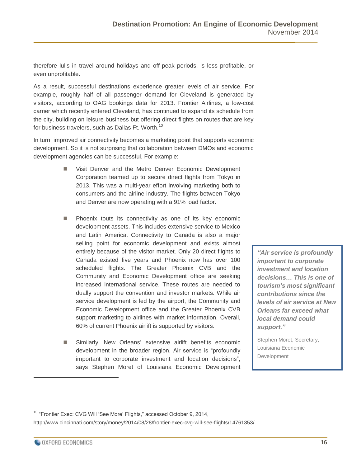therefore lulls in travel around holidays and off-peak periods, is less profitable, or even unprofitable.

As a result, successful destinations experience greater levels of air service. For example, roughly half of all passenger demand for Cleveland is generated by visitors, according to OAG bookings data for 2013. Frontier Airlines, a low-cost carrier which recently entered Cleveland, has continued to expand its schedule from the city, building on leisure business but offering direct flights on routes that are key for business travelers, such as Dallas Ft. Worth.<sup>10</sup>

In turn, improved air connectivity becomes a marketing point that supports economic development. So it is not surprising that collaboration between DMOs and economic development agencies can be successful. For example:

- Visit Denver and the Metro Denver Economic Development Corporation teamed up to secure direct flights from Tokyo in 2013. This was a multi-year effort involving marketing both to consumers and the airline industry. The flights between Tokyo and Denver are now operating with a 91% load factor.
- **Phoenix touts its connectivity as one of its key economic** development assets. This includes extensive service to Mexico and Latin America. Connectivity to Canada is also a major selling point for economic development and exists almost entirely because of the visitor market. Only 20 direct flights to Canada existed five years and Phoenix now has over 100 scheduled flights. The Greater Phoenix CVB and the Community and Economic Development office are seeking increased international service. These routes are needed to dually support the convention and investor markets. While air service development is led by the airport, the Community and Economic Development office and the Greater Phoenix CVB support marketing to airlines with market information. Overall, 60% of current Phoenix airlift is supported by visitors.
- Similarly, New Orleans' extensive airlift benefits economic development in the broader region. Air service is "profoundly important to corporate investment and location decisions", says Stephen Moret of Louisiana Economic Development

*"Air service is profoundly important to corporate investment and location decisions… This is one of tourism's most significant contributions since the levels of air service at New Orleans far exceed what local demand could support."*

Stephen Moret, Secretary, Louisiana Economic Development

<sup>10</sup> "Frontier Exec: CVG Will 'See More' Flights," accessed October 9, 2014,

http://www.cincinnati.com/story/money/2014/08/28/frontier-exec-cvg-will-see-flights/14761353/.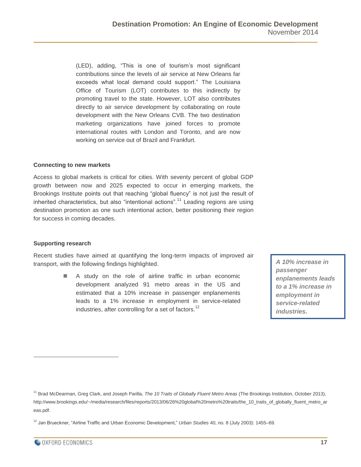(LED), adding, "This is one of tourism's most significant contributions since the levels of air service at New Orleans far exceeds what local demand could support." The Louisiana Office of Tourism (LOT) contributes to this indirectly by promoting travel to the state. However, LOT also contributes directly to air service development by collaborating on route development with the New Orleans CVB. The two destination marketing organizations have joined forces to promote international routes with London and Toronto, and are now working on service out of Brazil and Frankfurt.

#### **Connecting to new markets**

Access to global markets is critical for cities. With seventy percent of global GDP growth between now and 2025 expected to occur in emerging markets, the Brookings Institute points out that reaching "global fluency" is not just the result of inherited characteristics, but also "intentional actions".<sup>11</sup> Leading regions are using destination promotion as one such intentional action, better positioning their region for success in coming decades.

#### **Supporting research**

Recent studies have aimed at quantifying the long-term impacts of improved air transport, with the following findings highlighted.

> A study on the role of airline traffic in urban economic development analyzed 91 metro areas in the US and estimated that a 10% increase in passenger enplanements leads to a 1% increase in employment in service-related industries, after controlling for a set of factors.<sup>12</sup>

*A 10% increase in passenger enplanements leads to a 1% increase in employment in service-related industries.*

<sup>11</sup> Brad McDearman, Greg Clark, and Joseph Parilla, *The 10 Traits of Globally Fluent Metro Areas* (The Brookings Institution, October 2013), http://www.brookings.edu/~/media/research/files/reports/2013/06/26%20global%20metro%20traits/the\_10\_traits\_of\_globally\_fluent\_metro\_ar eas.pdf.

<sup>12</sup> Jan Brueckner, "Airline Traffic and Urban Economic Development," *Urban Studies* 40, no. 8 (July 2003): 1455–69.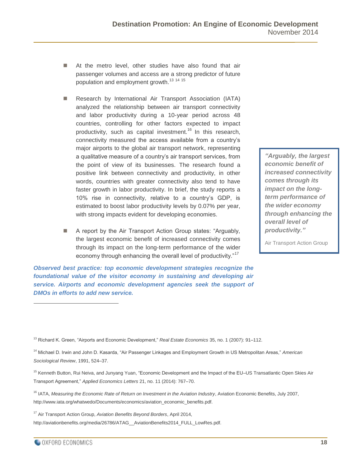- At the metro level, other studies have also found that air passenger volumes and access are a strong predictor of future population and employment growth.<sup>13 14 15</sup>
- Research by International Air Transport Association (IATA) analyzed the relationship between air transport connectivity and labor productivity during a 10-year period across 48 countries, controlling for other factors expected to impact productivity, such as capital investment.<sup>16</sup> In this research, connectivity measured the access available from a country's major airports to the global air transport network, representing a qualitative measure of a country's air transport services, from the point of view of its businesses. The research found a positive link between connectivity and productivity, in other words, countries with greater connectivity also tend to have faster growth in labor productivity. In brief, the study reports a 10% rise in connectivity, relative to a country's GDP, is estimated to boost labor productivity levels by 0.07% per year, with strong impacts evident for developing economies.
- A report by the Air Transport Action Group states: "Arguably, the largest economic benefit of increased connectivity comes through its impact on the long-term performance of the wider economy through enhancing the overall level of productivity."<sup>17</sup>

*Observed best practice: top economic development strategies recognize the foundational value of the visitor economy in sustaining and developing air service. Airports and economic development agencies seek the support of DMOs in efforts to add new service.* 

*"Arguably, the largest economic benefit of increased connectivity comes through its impact on the longterm performance of the wider economy through enhancing the overall level of productivity."*

Air Transport Action Group

<sup>13</sup> Richard K. Green, "Airports and Economic Development," *Real Estate Economics* 35, no. 1 (2007): 91–112.

<sup>14</sup> Michael D. Irwin and John D. Kasarda, "Air Passenger Linkages and Employment Growth in US Metropolitan Areas," *American Sociological Review*, 1991, 524–37.

<sup>15</sup> Kenneth Button, Rui Neiva, and Junyang Yuan, "Economic Development and the Impact of the EU–US Transatlantic Open Skies Air Transport Agreement," *Applied Economics Letters* 21, no. 11 (2014): 767–70.

<sup>16</sup> IATA, *Measuring the Economic Rate of Return on Investment in the Aviation Industry*, Aviation Economic Benefits, July 2007, http://www.iata.org/whatwedo/Documents/economics/aviation\_economic\_benefits.pdf.

<sup>17</sup> Air Transport Action Group, *Aviation Benefits Beyond Borders*, April 2014, http://aviationbenefits.org/media/26786/ATAG\_\_AviationBenefits2014\_FULL\_LowRes.pdf.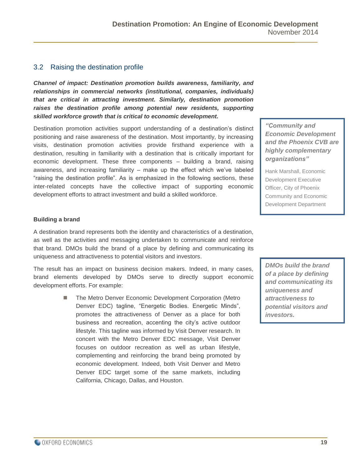#### <span id="page-18-0"></span>3.2 Raising the destination profile

*Channel of impact: Destination promotion builds awareness, familiarity, and relationships in commercial networks (institutional, companies, individuals) that are critical in attracting investment. Similarly, destination promotion raises the destination profile among potential new residents, supporting skilled workforce growth that is critical to economic development.*

Destination promotion activities support understanding of a destination's distinct positioning and raise awareness of the destination. Most importantly, by increasing visits, destination promotion activities provide firsthand experience with a destination, resulting in familiarity with a destination that is critically important for economic development. These three components – building a brand, raising awareness, and increasing familiarity – make up the effect which we've labeled "raising the destination profile". As is emphasized in the following sections, these inter-related concepts have the collective impact of supporting economic development efforts to attract investment and build a skilled workforce.

*"Community and Economic Development and the Phoenix CVB are highly complementary organizations"* 

Hank Marshall, Economic Development Executive Officer, City of Phoenix Community and Economic Development Department

#### **Building a brand**

A destination brand represents both the identity and characteristics of a destination, as well as the activities and messaging undertaken to communicate and reinforce that brand. DMOs build the brand of a place by defining and communicating its uniqueness and attractiveness to potential visitors and investors.

The result has an impact on business decision makers. Indeed, in many cases, brand elements developed by DMOs serve to directly support economic development efforts. For example:

> ■ The Metro Denver Economic Development Corporation (Metro Denver EDC) tagline, "Energetic Bodies. Energetic Minds", promotes the attractiveness of Denver as a place for both business and recreation, accenting the city's active outdoor lifestyle. This tagline was informed by Visit Denver research. In concert with the Metro Denver EDC message, Visit Denver focuses on outdoor recreation as well as urban lifestyle, complementing and reinforcing the brand being promoted by economic development. Indeed, both Visit Denver and Metro Denver EDC target some of the same markets, including California, Chicago, Dallas, and Houston.

*DMOs build the brand of a place by defining and communicating its uniqueness and attractiveness to potential visitors and investors.*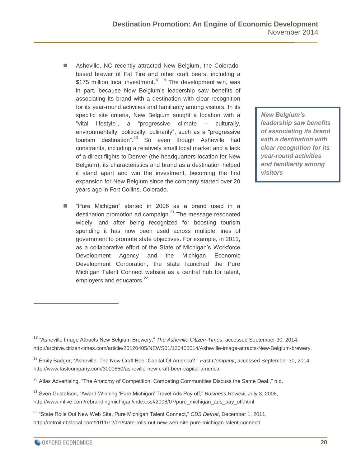- Asheville, NC recently attracted New Belgium, the Coloradobased brewer of Fat Tire and other craft beers, including a \$175 million local investment.<sup>18 19</sup> The development win, was in part, because New Belgium's leadership saw benefits of associating its brand with a destination with clear recognition for its year-round activities and familiarity among visitors. In its specific site criteria, New Belgium sought a location with a "vital lifestyle", a "progressive climate – culturally, environmentally, politically, culinarily", such as a "progressive tourism destination".<sup>20</sup> So even though Asheville had constraints, including a relatively small local market and a lack of a direct flights to Denver (the headquarters location for New Belgium), its characteristics and brand as a destination helped it stand apart and win the investment, becoming the first expansion for New Belgium since the company started over 20 years ago in Fort Collins, Colorado.
- "Pure Michigan" started in 2006 as a brand used in a destination promotion ad campaign. $21$  The message resonated widely, and after being recognized for boosting tourism spending it has now been used across multiple lines of government to promote state objectives. For example, in 2011, as a collaborative effort of the State of Michigan's Workforce Development Agency and the Michigan Economic Development Corporation, the state launched the Pure Michigan Talent Connect website as a central hub for talent, employers and educators.<sup>22</sup>

*New Belgium's leadership saw benefits of associating its brand with a destination with clear recognition for its year-round activities and familiarity among visitors*

<sup>18</sup> "Asheville Image Attracts New Belgium Brewery," *The Asheville Citizen-Times*, accessed September 30, 2014, http://archive.citizen-times.com/article/20120405/NEWS01/120405014/Asheville-image-attracts-New-Belgium-brewery.

<sup>19</sup> Emily Badger, "Asheville: The New Craft Beer Capital Of America?," *Fast Company*, accessed September 30, 2014, http://www.fastcompany.com/3000850/asheville-new-craft-beer-capital-america.

<sup>&</sup>lt;sup>20</sup> Atlas Advertising, "The Anatomy of Competition: Competing Communities Discuss the Same Deal.," n.d.

<sup>21</sup> Sven Gustafson, "Award-Winning 'Pure Michigan' Travel Ads Pay off," *Business Review*, July 3, 2008, http://www.mlive.com/rebrandingmichigan/index.ssf/2008/07/pure\_michigan\_ads\_pay\_off.html.

<sup>22</sup> "State Rolls Out New Web Site, Pure Michigan Talent Connect," *CBS Detroit*, December 1, 2011, http://detroit.cbslocal.com/2011/12/01/state-rolls-out-new-web-site-pure-michigan-talent-connect/.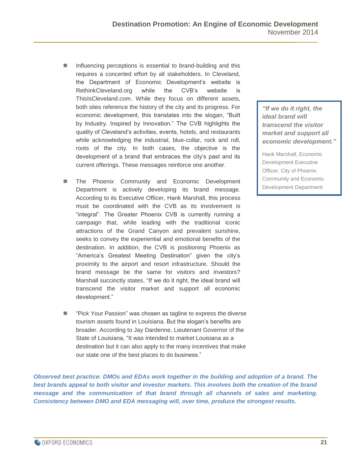- Influencing perceptions is essential to brand-building and this requires a concerted effort by all stakeholders. In Cleveland, the Department of Economic Development's website is RethinkCleveland.org while the CVB's website is ThisIsCleveland.com. While they focus on different assets, both sites reference the history of the city and its progress. For economic development, this translates into the slogan, "Built by Industry. Inspired by Innovation." The CVB highlights the quality of Cleveland's activities, events, hotels, and restaurants while acknowledging the industrial, blue-collar, rock and roll, roots of the city. In both cases, the objective is the development of a brand that embraces the city's past and its current offerings. These messages reinforce one another.
- The Phoenix Community and Economic Development Department is actively developing its brand message. According to its Executive Officer, Hank Marshall, this process must be coordinated with the CVB as its involvement is "integral". The Greater Phoenix CVB is currently running a campaign that, while leading with the traditional iconic attractions of the Grand Canyon and prevalent sunshine, seeks to convey the experiential and emotional benefits of the destination. In addition, the CVB is positioning Phoenix as "America's Greatest Meeting Destination" given the city's proximity to the airport and resort infrastructure. Should the brand message be the same for visitors and investors? Marshall succinctly states, "If we do it right, the ideal brand will transcend the visitor market and support all economic development."
- "Pick Your Passion" was chosen as tagline to express the diverse tourism assets found in Louisiana. But the slogan's benefits are broader. According to Jay Dardenne, Lieutenant Governor of the State of Louisiana, "It was intended to market Louisiana as a destination but it can also apply to the many incentives that make our state one of the best places to do business."

*Observed best practice: DMOs and EDAs work together in the building and adoption of a brand. The best brands appeal to both visitor and investor markets. This involves both the creation of the brand message and the communication of that brand through all channels of sales and marketing. Consistency between DMO and EDA messaging will, over time, produce the strongest results.*

*"If we do it right, the ideal brand will transcend the visitor market and support all economic development."*

Hank Marshall, Economic Development Executive Officer, City of Phoenix Community and Economic Development Department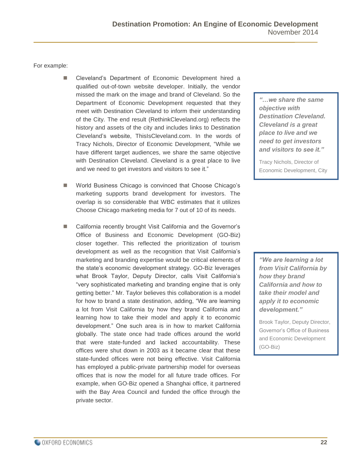For example:

- Cleveland's Department of Economic Development hired a qualified out-of-town website developer. Initially, the vendor missed the mark on the image and brand of Cleveland. So the Department of Economic Development requested that they meet with Destination Cleveland to inform their understanding of the City. The end result (RethinkCleveland.org) reflects the history and assets of the city and includes links to Destination Cleveland's website, ThisIsCleveland.com. In the words of Tracy Nichols, Director of Economic Development, "While we have different target audiences, we share the same objective with Destination Cleveland. Cleveland is a great place to live and we need to get investors and visitors to see it."
- World Business Chicago is convinced that Choose Chicago's marketing supports brand development for investors. The overlap is so considerable that WBC estimates that it utilizes Choose Chicago marketing media for 7 out of 10 of its needs.
- California recently brought Visit California and the Governor's Office of Business and Economic Development (GO-Biz) closer together. This reflected the prioritization of tourism development as well as the recognition that Visit California's marketing and branding expertise would be critical elements of the state's economic development strategy. GO-Biz leverages what Brook Taylor, Deputy Director, calls Visit California's "very sophisticated marketing and branding engine that is only getting better." Mr. Taylor believes this collaboration is a model for how to brand a state destination, adding, "We are learning a lot from Visit California by how they brand California and learning how to take their model and apply it to economic development." One such area is in how to market California globally. The state once had trade offices around the world that were state-funded and lacked accountability. These offices were shut down in 2003 as it became clear that these state-funded offices were not being effective. Visit California has employed a public-private partnership model for overseas offices that is now the model for all future trade offices. For example, when GO-Biz opened a Shanghai office, it partnered with the Bay Area Council and funded the office through the private sector.

*"…we share the same objective with Destination Cleveland. Cleveland is a great place to live and we need to get investors and visitors to see it."*

Tracy Nichols, Director of Economic Development, City

of Cleveland

*"We are learning a lot from Visit California by how they brand California and how to take their model and apply it to economic development."*

Brook Taylor, Deputy Director, Governor's Office of Business and Economic Development (GO-Biz)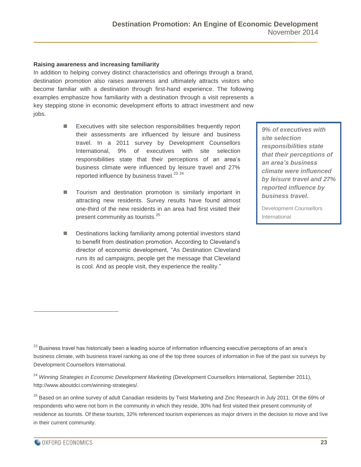#### **Raising awareness and increasing familiarity**

In addition to helping convey distinct characteristics and offerings through a brand, destination promotion also raises awareness and ultimately attracts visitors who become familiar with a destination through first-hand experience. The following examples emphasize how familiarity with a destination through a visit represents a key stepping stone in economic development efforts to attract investment and new jobs.

- Executives with site selection responsibilities frequently report their assessments are influenced by leisure and business travel. In a 2011 survey by Development Counsellors International, 9% of executives with site selection responsibilities state that their perceptions of an area's business climate were influenced by leisure travel and 27% reported influence by business travel.<sup>23</sup> <sup>24</sup>
- Tourism and destination promotion is similarly important in attracting new residents. Survey results have found almost one-third of the new residents in an area had first visited their present community as tourists.<sup>25</sup>
- Destinations lacking familiarity among potential investors stand to benefit from destination promotion. According to Cleveland's director of economic development, "As Destination Cleveland runs its ad campaigns, people get the message that Cleveland is cool. And as people visit, they experience the reality."

*9% of executives with site selection responsibilities state that their perceptions of an area's business climate were influenced by leisure travel and 27% reported influence by business travel.*

Development Counsellors International

- $^{23}$  Business travel has historically been a leading source of information influencing executive perceptions of an area's business climate, with business travel ranking as one of the top three sources of information in five of the past six surveys by Development Counsellors International.
- <sup>24</sup> *Winning Strategies in Economic Development Marketing* (Development Counsellors International, September 2011), http://www.aboutdci.com/winning-strategies/.

 $^{25}$  Based on an online survey of adult Canadian residents by Twist Marketing and Zinc Research in July 2011. Of the 69% of respondents who were not born in the community in which they reside, 30% had first visited their present community of residence as tourists. Of these tourists, 32% referenced tourism experiences as major drivers in the decision to move and live in their current community.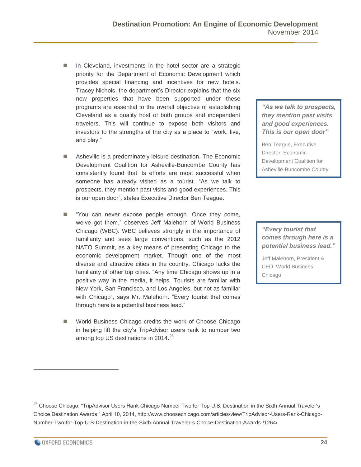- In Cleveland, investments in the hotel sector are a strategic priority for the Department of Economic Development which provides special financing and incentives for new hotels. Tracey Nichols, the department's Director explains that the six new properties that have been supported under these programs are essential to the overall objective of establishing Cleveland as a quality host of both groups and independent travelers. This will continue to expose both visitors and investors to the strengths of the city as a place to "work, live, and play."
- Asheville is a predominately leisure destination. The Economic Development Coalition for Asheville-Buncombe County has consistently found that its efforts are most successful when someone has already visited as a tourist. "As we talk to prospects, they mention past visits and good experiences. This is our open door", states Executive Director Ben Teague.
- "You can never expose people enough. Once they come, we've got them," observes Jeff Malehorn of World Business Chicago (WBC). WBC believes strongly in the importance of familiarity and sees large conventions, such as the 2012 NATO Summit, as a key means of presenting Chicago to the economic development market. Though one of the most diverse and attractive cities in the country, Chicago lacks the familiarity of other top cities. "Any time Chicago shows up in a positive way in the media, it helps. Tourists are familiar with New York, San Francisco, and Los Angeles, but not as familiar with Chicago", says Mr. Malehorn. "Every tourist that comes through here is a potential business lead."
- World Business Chicago credits the work of Choose Chicago in helping lift the city's TripAdvisor users rank to number two among top US destinations in 2014.<sup>26</sup>

*"As we talk to prospects, they mention past visits and good experiences. This is our open door"*

Ben Teague, Executive Director, Economic Development Coalition for Asheville-Buncombe County

*"Every tourist that comes through here is a potential business lead."*

Jeff Malehorn, President & CEO, World Business Chicago

<sup>&</sup>lt;sup>26</sup> Choose Chicago, "TripAdvisor Users Rank Chicago Number Two for Top U.S. Destination in the Sixth Annual Traveler's Choice Destination Awards," April 10, 2014, http://www.choosechicago.com/articles/view/TripAdvisor-Users-Rank-Chicago-Number-Two-for-Top-U-S-Destination-in-the-Sixth-Annual-Traveler-s-Choice-Destination-Awards-/1264/.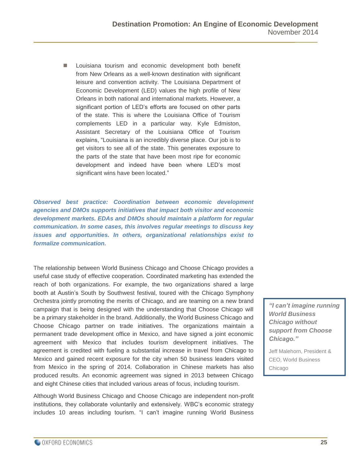**Louisiana tourism and economic development both benefit** from New Orleans as a well-known destination with significant leisure and convention activity. The Louisiana Department of Economic Development (LED) values the high profile of New Orleans in both national and international markets. However, a significant portion of LED's efforts are focused on other parts of the state. This is where the Louisiana Office of Tourism complements LED in a particular way. Kyle Edmiston, Assistant Secretary of the Louisiana Office of Tourism explains, "Louisiana is an incredibly diverse place. Our job is to get visitors to see all of the state. This generates exposure to the parts of the state that have been most ripe for economic development and indeed have been where LED's most significant wins have been located."

*Observed best practice: Coordination between economic development agencies and DMOs supports initiatives that impact both visitor and economic development markets. EDAs and DMOs should maintain a platform for regular communication. In some cases, this involves regular meetings to discuss key issues and opportunities. In others, organizational relationships exist to formalize communication.*

The relationship between World Business Chicago and Choose Chicago provides a useful case study of effective cooperation. Coordinated marketing has extended the reach of both organizations. For example, the two organizations shared a large booth at Austin's South by Southwest festival, toured with the Chicago Symphony Orchestra jointly promoting the merits of Chicago, and are teaming on a new brand campaign that is being designed with the understanding that Choose Chicago will be a primary stakeholder in the brand. Additionally, the World Business Chicago and Choose Chicago partner on trade initiatives. The organizations maintain a permanent trade development office in Mexico, and have signed a joint economic agreement with Mexico that includes tourism development initiatives. The agreement is credited with fueling a substantial increase in travel from Chicago to Mexico and gained recent exposure for the city when 50 business leaders visited from Mexico in the spring of 2014. Collaboration in Chinese markets has also produced results. An economic agreement was signed in 2013 between Chicago and eight Chinese cities that included various areas of focus, including tourism.

Although World Business Chicago and Choose Chicago are independent non-profit institutions, they collaborate voluntarily and extensively. WBC's economic strategy includes 10 areas including tourism. "I can't imagine running World Business *"I can't imagine running World Business Chicago without support from Choose Chicago."*

Jeff Malehorn, President & CEO, World Business Chicago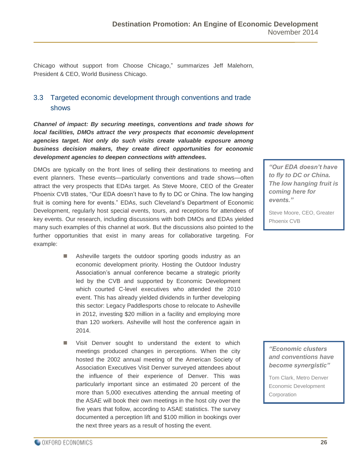Chicago without support from Choose Chicago," summarizes Jeff Malehorn, President & CEO, World Business Chicago.

#### <span id="page-25-0"></span>3.3 Targeted economic development through conventions and trade shows

*Channel of impact: By securing meetings, conventions and trade shows for local facilities, DMOs attract the very prospects that economic development agencies target. Not only do such visits create valuable exposure among business decision makers, they create direct opportunities for economic development agencies to deepen connections with attendees.*

DMOs are typically on the front lines of selling their destinations to meeting and event planners. These events—particularly conventions and trade shows—often attract the very prospects that EDAs target. As Steve Moore, CEO of the Greater Phoenix CVB states, "Our EDA doesn't have to fly to DC or China. The low hanging fruit is coming here for events." EDAs, such Cleveland's Department of Economic Development, regularly host special events, tours, and receptions for attendees of key events. Our research, including discussions with both DMOs and EDAs yielded many such examples of this channel at work. But the discussions also pointed to the further opportunities that exist in many areas for collaborative targeting. For example:

- Asheville targets the outdoor sporting goods industry as an economic development priority. Hosting the Outdoor Industry Association's annual conference became a strategic priority led by the CVB and supported by Economic Development which courted C-level executives who attended the 2010 event. This has already yielded dividends in further developing this sector: Legacy Paddlesports chose to relocate to Asheville in 2012, investing \$20 million in a facility and employing more than 120 workers. Asheville will host the conference again in 2014.
- **Now Visit Denver sought to understand the extent to which** meetings produced changes in perceptions. When the city hosted the 2002 annual meeting of the American Society of Association Executives Visit Denver surveyed attendees about the influence of their experience of Denver. This was particularly important since an estimated 20 percent of the more than 5,000 executives attending the annual meeting of the ASAE will book their own meetings in the host city over the five years that follow, according to ASAE statistics. The survey documented a perception lift and \$100 million in bookings over the next three years as a result of hosting the event.

*"Our EDA doesn't have to fly to DC or China. The low hanging fruit is coming here for events."*

Steve Moore, CEO, Greater Phoenix CVB

*"Economic clusters and conventions have become synergistic"*

Tom Clark, Metro Denver Economic Development **Corporation**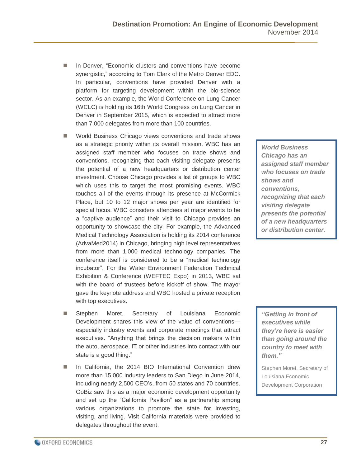- In Denver, "Economic clusters and conventions have become synergistic," according to Tom Clark of the Metro Denver EDC. In particular, conventions have provided Denver with a platform for targeting development within the bio-science sector. As an example, the World Conference on Lung Cancer (WCLC) is holding its 16th World Congress on Lung Cancer in Denver in September 2015, which is expected to attract more than 7,000 delegates from more than 100 countries.
- **World Business Chicago views conventions and trade shows** as a strategic priority within its overall mission. WBC has an assigned staff member who focuses on trade shows and conventions, recognizing that each visiting delegate presents the potential of a new headquarters or distribution center investment. Choose Chicago provides a list of groups to WBC which uses this to target the most promising events. WBC touches all of the events through its presence at McCormick Place, but 10 to 12 major shows per year are identified for special focus. WBC considers attendees at major events to be a "captive audience" and their visit to Chicago provides an opportunity to showcase the city. For example, the Advanced Medical Technology Association is holding its 2014 conference (AdvaMed2014) in Chicago, bringing high level representatives from more than 1,000 medical technology companies. The conference itself is considered to be a "medical technology incubator". For the Water Environment Federation Technical Exhibition & Conference (WEFTEC Expo) in 2013, WBC sat with the board of trustees before kickoff of show. The mayor gave the keynote address and WBC hosted a private reception with top executives.
- Stephen Moret, Secretary of Louisiana Economic Development shares this view of the value of conventions especially industry events and corporate meetings that attract executives. "Anything that brings the decision makers within the auto, aerospace, IT or other industries into contact with our state is a good thing."
- In California, the 2014 BIO International Convention drew more than 15,000 industry leaders to San Diego in June 2014, including nearly 2,500 CEO's, from 50 states and 70 countries. GoBiz saw this as a major economic development opportunity and set up the "California Pavilion" as a partnership among various organizations to promote the state for investing, visiting, and living. Visit California materials were provided to delegates throughout the event.

*World Business Chicago has an assigned staff member who focuses on trade shows and conventions, recognizing that each visiting delegate presents the potential of a new headquarters or distribution center.*

*"Getting in front of executives while they're here is easier than going around the country to meet with them."*

Stephen Moret, Secretary of Louisiana Economic Development Corporation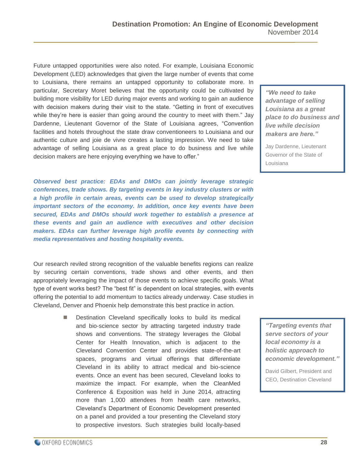Future untapped opportunities were also noted. For example, Louisiana Economic Development (LED) acknowledges that given the large number of events that come to Louisiana, there remains an untapped opportunity to collaborate more. In particular, Secretary Moret believes that the opportunity could be cultivated by building more visibility for LED during major events and working to gain an audience with decision makers during their visit to the state. "Getting in front of executives while they're here is easier than going around the country to meet with them." Jay Dardenne, Lieutenant Governor of the State of Louisiana agrees, "Convention facilities and hotels throughout the state draw conventioneers to Louisiana and our authentic culture and joie de vivre creates a lasting impression. We need to take advantage of selling Louisiana as a great place to do business and live while decision makers are here enjoying everything we have to offer."

*Observed best practice: EDAs and DMOs can jointly leverage strategic conferences, trade shows. By targeting events in key industry clusters or with a high profile in certain areas, events can be used to develop strategically important sectors of the economy. In addition, once key events have been secured, EDAs and DMOs should work together to establish a presence at these events and gain an audience with executives and other decision makers. EDAs can further leverage high profile events by connecting with media representatives and hosting hospitality events.*

Our research reviled strong recognition of the valuable benefits regions can realize by securing certain conventions, trade shows and other events, and then appropriately leveraging the impact of those events to achieve specific goals. What type of event works best? The "best fit" is dependent on local strategies, with events offering the potential to add momentum to tactics already underway. Case studies in Cleveland, Denver and Phoenix help demonstrate this best practice in action.

> Destination Cleveland specifically looks to build its medical and bio-science sector by attracting targeted industry trade shows and conventions. The strategy leverages the Global Center for Health Innovation, which is adjacent to the Cleveland Convention Center and provides state-of-the-art spaces, programs and virtual offerings that differentiate Cleveland in its ability to attract medical and bio-science events. Once an event has been secured, Cleveland looks to maximize the impact. For example, when the CleanMed Conference & Exposition was held in June 2014, attracting more than 1,000 attendees from health care networks, Cleveland's Department of Economic Development presented on a panel and provided a tour presenting the Cleveland story to prospective investors. Such strategies build locally-based

*"We need to take advantage of selling Louisiana as a great place to do business and live while decision makers are here."*

Jay Dardenne, Lieutenant Governor of the State of Louisiana

*"Targeting events that serve sectors of your local economy is a holistic approach to economic development."*

David Gilbert, President and CEO, Destination Cleveland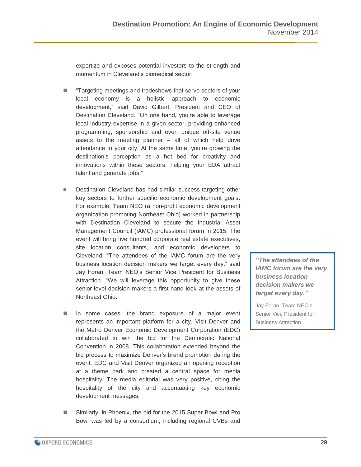expertize and exposes potential investors to the strength and momentum in Cleveland's biomedical sector.

- "Targeting meetings and tradeshows that serve sectors of your local economy is a holistic approach to economic development," said David Gilbert, President and CEO of Destination Cleveland. "On one hand, you're able to leverage local industry expertise in a given sector, providing enhanced programming, sponsorship and even unique off-site venue assets to the meeting planner – all of which help drive attendance to your city. At the same time, you're growing the destination's perception as a hot bed for creativity and innovations within these sectors, helping your EDA attract talent and generate jobs."
- Destination Cleveland has had similar success targeting other key sectors to further specific economic development goals. For example, Team NEO (a non-profit economic development organization promoting Northeast Ohio) worked in partnership with Destination Cleveland to secure the Industrial Asset Management Council (IAMC) professional forum in 2015. The event will bring five hundred corporate real estate executives, site location consultants, and economic developers to Cleveland. "The attendees of the IAMC forum are the very business location decision makers we target every day," said Jay Foran, Team NEO's Senior Vice President for Business Attraction. "We will leverage this opportunity to give these senior-level decision makers a first-hand look at the assets of Northeast Ohio.
- In some cases, the brand exposure of a major event represents an important platform for a city. Visit Denver and the Metro Denver Economic Development Corporation (EDC) collaborated to win the bid for the Democratic National Convention in 2008. This collaboration extended beyond the bid process to maximize Denver's brand promotion during the event. EDC and Visit Denver organized an opening reception at a theme park and created a central space for media hospitality. The media editorial was very positive, citing the hospitality of the city and accentuating key economic development messages.
- Similarly, in Phoenix, the bid for the 2015 Super Bowl and Pro Bowl was led by a consortium, including regional CVBs and

*"The attendees of the IAMC forum are the very business location decision makers we target every day."*

Jay Foran, Team NEO's Senior Vice President for Business Attraction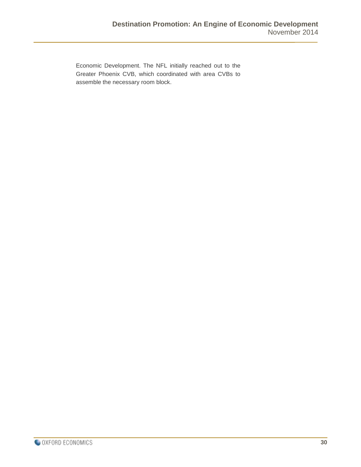Economic Development. The NFL initially reached out to the Greater Phoenix CVB, which coordinated with area CVBs to assemble the necessary room block.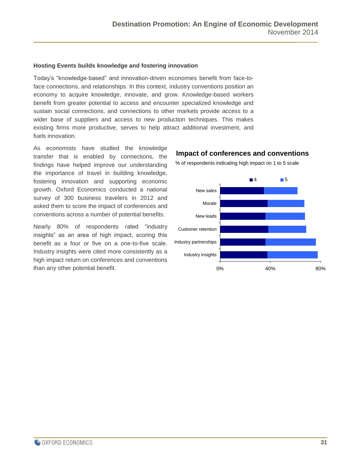#### **Hosting Events builds knowledge and fostering innovation**

Today's "knowledge-based" and innovation-driven economies benefit from face-toface connections, and relationships. In this context, industry conventions position an economy to acquire knowledge, innovate, and grow. Knowledge-based workers benefit from greater potential to access and encounter specialized knowledge and sustain social connections, and connections to other markets provide access to a wider base of suppliers and access to new production techniques. This makes existing firms more productive, serves to help attract additional investment, and fuels innovation.

As economists have studied the knowledge transfer that is enabled by connections, the findings have helped improve our understanding the importance of travel in building knowledge, fostering innovation and supporting economic growth. Oxford Economics conducted a national survey of 300 business travelers in 2012 and asked them to score the impact of conferences and conventions across a number of potential benefits.

Nearly 80% of respondents rated "industry insights" as an area of high impact, scoring this benefit as a four or five on a one-to-five scale. Industry insights were cited more consistently as a high impact return on conferences and conventions

#### **Impact of conferences and conventions**



% of respondents indicating high impact on 1 to 5 scale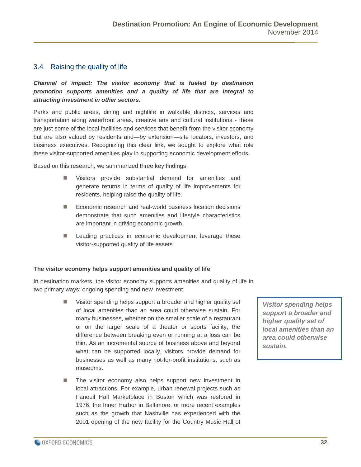#### <span id="page-31-0"></span>3.4 Raising the quality of life

*Channel of impact: The visitor economy that is fueled by destination promotion supports amenities and a quality of life that are integral to attracting investment in other sectors.*

Parks and public areas, dining and nightlife in walkable districts, services and transportation along waterfront areas, creative arts and cultural institutions - these are just some of the local facilities and services that benefit from the visitor economy but are also valued by residents and—by extension—site locators, investors, and business executives. Recognizing this clear link, we sought to explore what role these visitor-supported amenities play in supporting economic development efforts.

Based on this research, we summarized three key findings:

- Visitors provide substantial demand for amenities and generate returns in terms of quality of life improvements for residents, helping raise the quality of life.
- Economic research and real-world business location decisions demonstrate that such amenities and lifestyle characteristics are important in driving economic growth.
- **Leading practices in economic development leverage these** visitor-supported quality of life assets.

#### **The visitor economy helps support amenities and quality of life**

In destination markets, the visitor economy supports amenities and quality of life in two primary ways: ongoing spending and new investment.

- Visitor spending helps support a broader and higher quality set of local amenities than an area could otherwise sustain. For many businesses, whether on the smaller scale of a restaurant or on the larger scale of a theater or sports facility, the difference between breaking even or running at a loss can be thin. As an incremental source of business above and beyond what can be supported locally, visitors provide demand for businesses as well as many not-for-profit institutions, such as museums.
- The visitor economy also helps support new investment in local attractions. For example, urban renewal projects such as Faneuil Hall Marketplace in Boston which was restored in 1976, the Inner Harbor in Baltimore, or more recent examples such as the growth that Nashville has experienced with the 2001 opening of the new facility for the Country Music Hall of

*Visitor spending helps support a broader and higher quality set of local amenities than an area could otherwise sustain.*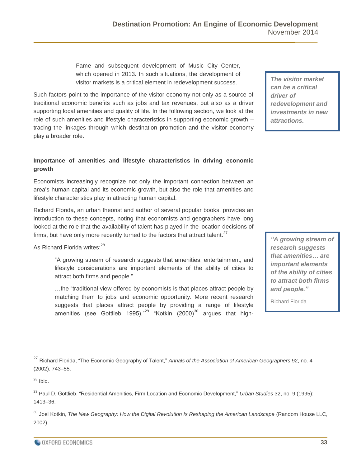Fame and subsequent development of Music City Center, which opened in 2013. In such situations, the development of visitor markets is a critical element in redevelopment success.

Such factors point to the importance of the visitor economy not only as a source of traditional economic benefits such as jobs and tax revenues, but also as a driver supporting local amenities and quality of life. In the following section, we look at the role of such amenities and lifestyle characteristics in supporting economic growth – tracing the linkages through which destination promotion and the visitor economy play a broader role.

#### **Importance of amenities and lifestyle characteristics in driving economic growth**

Economists increasingly recognize not only the important connection between an area's human capital and its economic growth, but also the role that amenities and lifestyle characteristics play in attracting human capital.

Richard Florida, an urban theorist and author of several popular books, provides an introduction to these concepts, noting that economists and geographers have long looked at the role that the availability of talent has played in the location decisions of firms, but have only more recently turned to the factors that attract talent.<sup>27</sup>

As Richard Florida writes:<sup>28</sup>

"A growing stream of research suggests that amenities, entertainment, and lifestyle considerations are important elements of the ability of cities to attract both firms and people."

…the "traditional view offered by economists is that places attract people by matching them to jobs and economic opportunity. More recent research suggests that places attract people by providing a range of lifestyle amenities (see Gottlieb 1995)."<sup>29</sup> "Kotkin (2000)<sup>30</sup> argues that high-

*The visitor market can be a critical driver of redevelopment and investments in new attractions.*

*"A growing stream of research suggests that amenities… are important elements of the ability of cities to attract both firms and people."*

Richard Florida

<sup>27</sup> Richard Florida, "The Economic Geography of Talent," *Annals of the Association of American Geographers* 92, no. 4 (2002): 743–55.

 $28$  Ibid.

 $\overline{a}$ 

<sup>29</sup> Paul D. Gottlieb, "Residential Amenities, Firm Location and Economic Development," *Urban Studies* 32, no. 9 (1995): 1413–36.

<sup>30</sup> Joel Kotkin, *The New Geography: How the Digital Revolution Is Reshaping the American Landscape (Random House LLC,* 2002).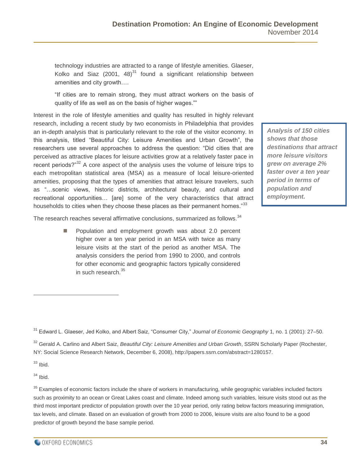technology industries are attracted to a range of lifestyle amenities. Glaeser, Kolko and Siaz (2001, 48) $31$  found a significant relationship between amenities and city growth….

"If cities are to remain strong, they must attract workers on the basis of quality of life as well as on the basis of higher wages.""

Interest in the role of lifestyle amenities and quality has resulted in highly relevant research, including a recent study by two economists in Philadelphia that provides an in-depth analysis that is particularly relevant to the role of the visitor economy. In this analysis, titled "Beautiful City: Leisure Amenities and Urban Growth", the researchers use several approaches to address the question: "Did cities that are perceived as attractive places for leisure activities grow at a relatively faster pace in recent periods?"<sup>32</sup> A core aspect of the analysis uses the volume of leisure trips to each metropolitan statistical area (MSA) as a measure of local leisure-oriented amenities, proposing that the types of amenities that attract leisure travelers, such as "…scenic views, historic districts, architectural beauty, and cultural and recreational opportunities… [are] some of the very characteristics that attract households to cities when they choose these places as their permanent homes."<sup>33</sup>

*Analysis of 150 cities shows that those destinations that attract more leisure visitors grew on average 2% faster over a ten year period in terms of population and employment.*

The research reaches several affirmative conclusions, summarized as follows.<sup>34</sup>

 Population and employment growth was about 2.0 percent higher over a ten year period in an MSA with twice as many leisure visits at the start of the period as another MSA. The analysis considers the period from 1990 to 2000, and controls for other economic and geographic factors typically considered in such research.<sup>35</sup>

 $33$  Ibid.

 $\overline{a}$ 

 $34$  Ibid.

<sup>31</sup> Edward L. Glaeser, Jed Kolko, and Albert Saiz, "Consumer City," *Journal of Economic Geography* 1, no. 1 (2001): 27–50.

<sup>32</sup> Gerald A. Carlino and Albert Saiz, *Beautiful City: Leisure Amenities and Urban Growth*, SSRN Scholarly Paper (Rochester, NY: Social Science Research Network, December 6, 2008), http://papers.ssrn.com/abstract=1280157.

 $35$  Examples of economic factors include the share of workers in manufacturing, while geographic variables included factors such as proximity to an ocean or Great Lakes coast and climate. Indeed among such variables, leisure visits stood out as the third most important predictor of population growth over the 10 year period, only rating below factors measuring immigration, tax levels, and climate. Based on an evaluation of growth from 2000 to 2006, leisure visits are also found to be a good predictor of growth beyond the base sample period.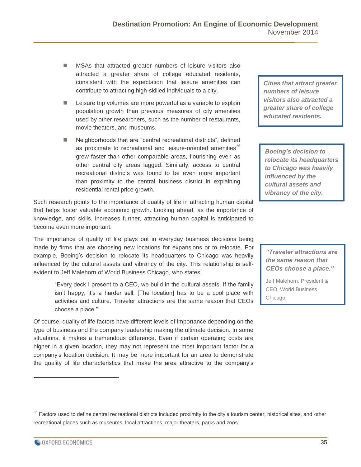- **MSAs that attracted greater numbers of leisure visitors also** attracted a greater share of college educated residents, consistent with the expectation that leisure amenities can contribute to attracting high-skilled individuals to a city.
- **E** Leisure trip volumes are more powerful as a variable to explain population growth than previous measures of city amenities used by other researchers, such as the number of restaurants, movie theaters, and museums.
- Neighborhoods that are "central recreational districts", defined as proximate to recreational and leisure-oriented amenities<sup>36</sup> grew faster than other comparable areas, flourishing even as other central city areas lagged. Similarly, access to central recreational districts was found to be even more important than proximity to the central business district in explaining residential rental price growth.

Such research points to the importance of quality of life in attracting human capital that helps foster valuable economic growth. Looking ahead, as the importance of knowledge, and skills, increases further, attracting human capital is anticipated to become even more important.

The importance of quality of life plays out in everyday business decisions being made by firms that are choosing new locations for expansions or to relocate. For example, Boeing's decision to relocate its headquarters to Chicago was heavily influenced by the cultural assets and vibrancy of the city. This relationship is selfevident to Jeff Malehorn of World Business Chicago, who states:

"Every deck I present to a CEO, we build in the cultural assets. If the family isn't happy, it's a harder sell. [The location] has to be a cool place with activities and culture. Traveler attractions are the same reason that CEOs choose a place."

Of course, quality of life factors have different levels of importance depending on the type of business and the company leadership making the ultimate decision. In some situations, it makes a tremendous difference. Even if certain operating costs are higher in a given location, they may not represent the most important factor for a company's location decision. It may be more important for an area to demonstrate the quality of life characteristics that make the area attractive to the company's

*Cities that attract greater numbers of leisure visitors also attracted a greater share of college educated residents.*

*Boeing's decision to relocate its headquarters to Chicago was heavily influenced by the cultural assets and vibrancy of the city.*

*"Traveler attractions are the same reason that CEOs choose a place."*

Jeff Malehorn, President & CEO, World Business Chicago

<sup>&</sup>lt;sup>36</sup> Factors used to define central recreational districts included proximity to the city's tourism center, historical sites, and other recreational places such as museums, local attractions, major theaters, parks and zoos.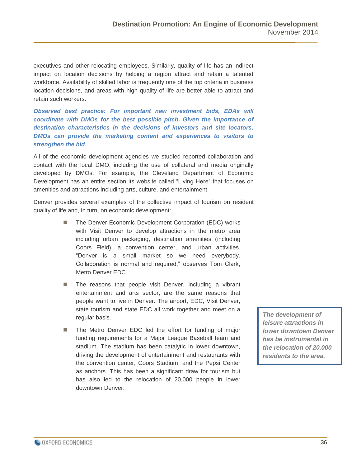executives and other relocating employees. Similarly, quality of life has an indirect impact on location decisions by helping a region attract and retain a talented workforce. Availability of skilled labor is frequently one of the top criteria in business location decisions, and areas with high quality of life are better able to attract and retain such workers.

*Observed best practice: For important new investment bids, EDAs will coordinate with DMOs for the best possible pitch. Given the importance of destination characteristics in the decisions of investors and site locators, DMOs can provide the marketing content and experiences to visitors to strengthen the bid*

All of the economic development agencies we studied reported collaboration and contact with the local DMO, including the use of collateral and media originally developed by DMOs. For example, the Cleveland Department of Economic Development has an entire section its website called "Living Here" that focuses on amenities and attractions including arts, culture, and entertainment.

Denver provides several examples of the collective impact of tourism on resident quality of life and, in turn, on economic development:

- The Denver Economic Development Corporation (EDC) works with Visit Denver to develop attractions in the metro area including urban packaging, destination amenities (including Coors Field), a convention center, and urban activities. "Denver is a small market so we need everybody. Collaboration is normal and required," observes Tom Clark, Metro Denver EDC.
- The reasons that people visit Denver, including a vibrant entertainment and arts sector, are the same reasons that people want to live in Denver. The airport, EDC, Visit Denver, state tourism and state EDC all work together and meet on a regular basis.
- The Metro Denver EDC led the effort for funding of major funding requirements for a Major League Baseball team and stadium. The stadium has been catalytic in lower downtown, driving the development of entertainment and restaurants with the convention center, Coors Stadium, and the Pepsi Center as anchors. This has been a significant draw for tourism but has also led to the relocation of 20,000 people in lower downtown Denver.

*The development of leisure attractions in lower downtown Denver has be instrumental in the relocation of 20,000 residents to the area.*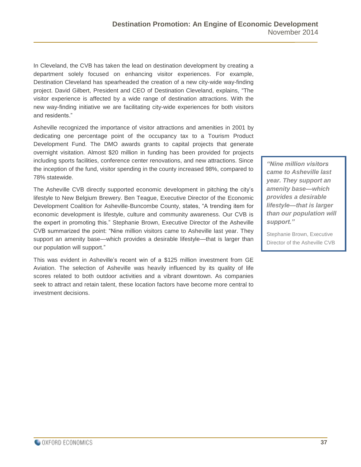In Cleveland, the CVB has taken the lead on destination development by creating a department solely focused on enhancing visitor experiences. For example, Destination Cleveland has spearheaded the creation of a new city-wide way-finding project. David Gilbert, President and CEO of Destination Cleveland, explains, "The visitor experience is affected by a wide range of destination attractions. With the new way-finding initiative we are facilitating city-wide experiences for both visitors and residents."

Asheville recognized the importance of visitor attractions and amenities in 2001 by dedicating one percentage point of the occupancy tax to a Tourism Product Development Fund. The DMO awards grants to capital projects that generate overnight visitation. Almost \$20 million in funding has been provided for projects including sports facilities, conference center renovations, and new attractions. Since the inception of the fund, visitor spending in the county increased 98%, compared to 78% statewide.

The Asheville CVB directly supported economic development in pitching the city's lifestyle to New Belgium Brewery. Ben Teague, Executive Director of the Economic Development Coalition for Asheville-Buncombe County, states, "A trending item for economic development is lifestyle, culture and community awareness. Our CVB is the expert in promoting this." Stephanie Brown, Executive Director of the Asheville CVB summarized the point: "Nine million visitors came to Asheville last year. They support an amenity base—which provides a desirable lifestyle—that is larger than our population will support."

This was evident in Asheville's recent win of a \$125 million investment from GE Aviation. The selection of Asheville was heavily influenced by its quality of life scores related to both outdoor activities and a vibrant downtown. As companies seek to attract and retain talent, these location factors have become more central to investment decisions.

*"Nine million visitors came to Asheville last year. They support an amenity base—which provides a desirable lifestyle—that is larger than our population will support."*

Stephanie Brown, Executive Director of the Asheville CVB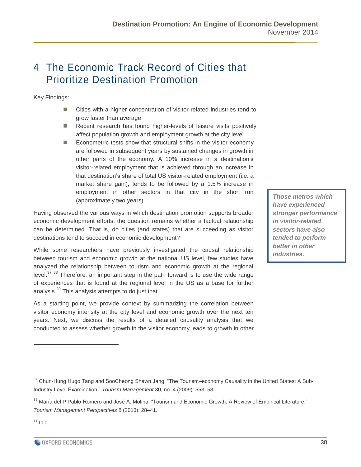## <span id="page-37-0"></span>4 The Economic Track Record of Cities that Prioritize Destination Promotion

Key Findings:

- Cities with a higher concentration of visitor-related industries tend to grow faster than average.
- Recent research has found higher-levels of leisure visits positively affect population growth and employment growth at the city level.
- Econometric tests show that structural shifts in the visitor economy are followed in subsequent years by sustained changes in growth in other parts of the economy. A 10% increase in a destination's visitor-related employment that is achieved through an increase in that destination's share of total US visitor-related employment (i.e. a market share gain), tends to be followed by a 1.5% increase in employment in other sectors in that city in the short run (approximately two years).

Having observed the various ways in which destination promotion supports broader economic development efforts, the question remains whether a factual relationship can be determined. That is, do cities (and states) that are succeeding as visitor destinations tend to succeed in economic development?

While some researchers have previously investigated the causal relationship between tourism and economic growth at the national US level, few studies have analyzed the relationship between tourism and economic growth at the regional level. $37\,38$  Therefore, an important step in the path forward is to use the wide range of experiences that is found at the regional level in the US as a base for further analysis.<sup>39</sup> This analysis attempts to do just that.

As a starting point, we provide context by summarizing the correlation between visitor economy intensity at the city level and economic growth over the next ten years. Next, we discuss the results of a detailed causality analysis that we conducted to assess whether growth in the visitor economy leads to growth in other

*Those metros which have experienced stronger performance in visitor-related sectors have also tended to perform better in other industries.*

 $39$  Ibid.

<sup>&</sup>lt;sup>37</sup> Chun-Hung Hugo Tang and SooCheong Shawn Jang, "The Tourism–economy Causality in the United States: A Sub-Industry Level Examination," *Tourism Management* 30, no. 4 (2009): 553–58.

<sup>&</sup>lt;sup>38</sup> María del P Pablo-Romero and José A. Molina, "Tourism and Economic Growth: A Review of Empirical Literature," *Tourism Management Perspectives* 8 (2013): 28–41.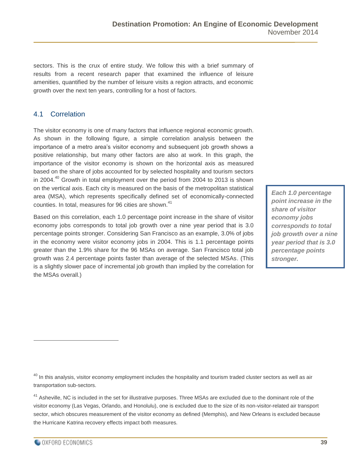sectors. This is the crux of entire study. We follow this with a brief summary of results from a recent research paper that examined the influence of leisure amenities, quantified by the number of leisure visits a region attracts, and economic growth over the next ten years, controlling for a host of factors.

#### <span id="page-38-0"></span>4.1 Correlation

The visitor economy is one of many factors that influence regional economic growth. As shown in the following figure, a simple correlation analysis between the importance of a metro area's visitor economy and subsequent job growth shows a positive relationship, but many other factors are also at work. In this graph, the importance of the visitor economy is shown on the horizontal axis as measured based on the share of jobs accounted for by selected hospitality and tourism sectors in 2004. $40$  Growth in total employment over the period from 2004 to 2013 is shown on the vertical axis. Each city is measured on the basis of the metropolitan statistical area (MSA), which represents specifically defined set of economically-connected counties. In total, measures for 96 cities are shown.<sup>41</sup>

Based on this correlation, each 1.0 percentage point increase in the share of visitor economy jobs corresponds to total job growth over a nine year period that is 3.0 percentage points stronger. Considering San Francisco as an example, 3.0% of jobs in the economy were visitor economy jobs in 2004. This is 1.1 percentage points greater than the 1.9% share for the 96 MSAs on average. San Francisco total job growth was 2.4 percentage points faster than average of the selected MSAs. (This is a slightly slower pace of incremental job growth than implied by the correlation for the MSAs overall.)

*Each 1.0 percentage point increase in the share of visitor economy jobs corresponds to total job growth over a nine year period that is 3.0 percentage points stronger.*

 $40$  In this analysis, visitor economy employment includes the hospitality and tourism traded cluster sectors as well as air transportation sub-sectors.

<sup>41</sup> Asheville, NC is included in the set for illustrative purposes. Three MSAs are excluded due to the dominant role of the visitor economy (Las Vegas, Orlando, and Honolulu), one is excluded due to the size of its non-visitor-related air transport sector, which obscures measurement of the visitor economy as defined (Memphis), and New Orleans is excluded because the Hurricane Katrina recovery effects impact both measures.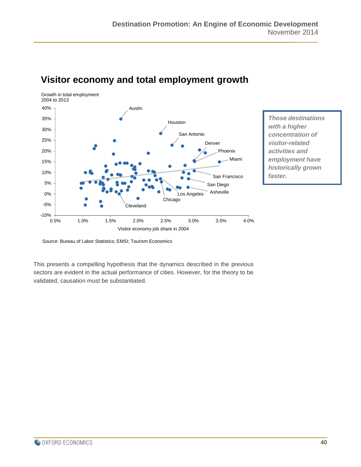

## **Visitor economy and total employment growth**

*Those destinations with a higher concentration of visitor-related activities and employment have historically grown faster.*

Source: Bureau of Labor Statistics; EMSI; Tourism Economics

This presents a compelling hypothesis that the dynamics described in the previous sectors are evident in the actual performance of cities. However, for the theory to be validated, causation must be substantiated.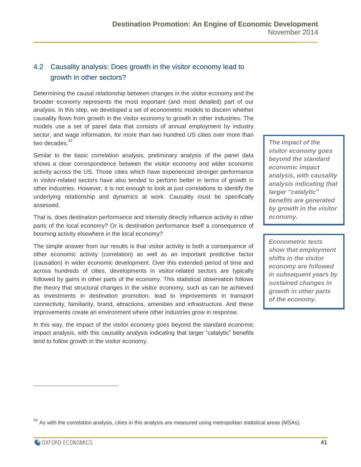#### <span id="page-40-0"></span>4.2 Causality analysis: Does growth in the visitor economy lead to growth in other sectors?

Determining the causal relationship between changes in the visitor economy and the broader economy represents the most important (and most detailed) part of our analysis. In this step, we developed a set of econometric models to discern whether causality flows from growth in the visitor economy to growth in other industries. The models use a set of panel data that consists of annual employment by industry sector, and wage information, for more than two hundred US cities over more than two decades.<sup>42</sup>

Similar to the basic correlation analysis, preliminary analysis of the panel data shows a clear correspondence between the visitor economy and wider economic activity across the US. Those cities which have experienced stronger performance in visitor-related sectors have also tended to perform better in terms of growth in other industries. However, it is not enough to look at just correlations to identify the underlying relationship and dynamics at work. Causality must be specifically assessed.

That is, does destination performance and intensity directly influence activity in other parts of the local economy? Or is destination performance itself a consequence of booming activity elsewhere in the local economy?

The simple answer from our results is that visitor activity is both a consequence of other economic activity (correlation) as well as an important predictive factor (causation) in wider economic development. Over this extended period of time and across hundreds of cities, developments in visitor-related sectors are typically followed by gains in other parts of the economy. This statistical observation follows the theory that structural changes in the visitor economy, such as can be achieved as investments in destination promotion, lead to improvements in transport connectivity, familiarity, brand, attractions, amenities and infrastructure. And these improvements create an environment where other industries grow in response.

In this way, the impact of the visitor economy goes beyond the standard economic impact analysis, with this causality analysis indicating that larger "catalytic" benefits tend to follow growth in the visitor economy.

*The impact of the visitor economy goes beyond the standard economic impact analysis, with causality analysis indicating that larger "catalytic" benefits are generated by growth in the visitor economy.*

*Econometric tests show that employment shifts in the visitor economy are followed in subsequent years by sustained changes in growth in other parts of the economy.*

 $42$  As with the correlation analysis, cities in this analysis are measured using metropolitan statistical areas (MSAs).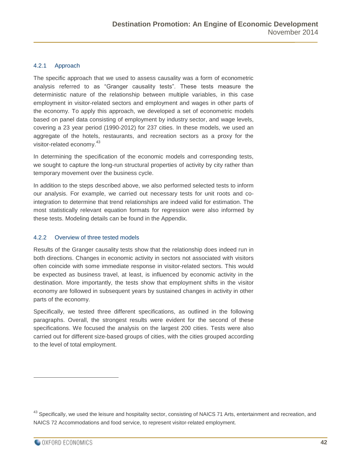#### <span id="page-41-0"></span>4.2.1 Approach

The specific approach that we used to assess causality was a form of econometric analysis referred to as "Granger causality tests". These tests measure the deterministic nature of the relationship between multiple variables, in this case employment in visitor-related sectors and employment and wages in other parts of the economy. To apply this approach, we developed a set of econometric models based on panel data consisting of employment by industry sector, and wage levels, covering a 23 year period (1990-2012) for 237 cities. In these models, we used an aggregate of the hotels, restaurants, and recreation sectors as a proxy for the visitor-related economy.<sup>43</sup>

In determining the specification of the economic models and corresponding tests, we sought to capture the long-run structural properties of activity by city rather than temporary movement over the business cycle.

In addition to the steps described above, we also performed selected tests to inform our analysis. For example, we carried out necessary tests for unit roots and cointegration to determine that trend relationships are indeed valid for estimation. The most statistically relevant equation formats for regression were also informed by these tests. Modeling details can be found in the Appendix.

#### <span id="page-41-1"></span>4.2.2 Overview of three tested models

Results of the Granger causality tests show that the relationship does indeed run in both directions. Changes in economic activity in sectors not associated with visitors often coincide with some immediate response in visitor-related sectors. This would be expected as business travel, at least, is influenced by economic activity in the destination. More importantly, the tests show that employment shifts in the visitor economy are followed in subsequent years by sustained changes in activity in other parts of the economy.

Specifically, we tested three different specifications, as outlined in the following paragraphs. Overall, the strongest results were evident for the second of these specifications. We focused the analysis on the largest 200 cities. Tests were also carried out for different size-based groups of cities, with the cities grouped according to the level of total employment.

<sup>&</sup>lt;sup>43</sup> Specifically, we used the leisure and hospitality sector, consisting of NAICS 71 Arts, entertainment and recreation, and NAICS 72 Accommodations and food service, to represent visitor-related employment.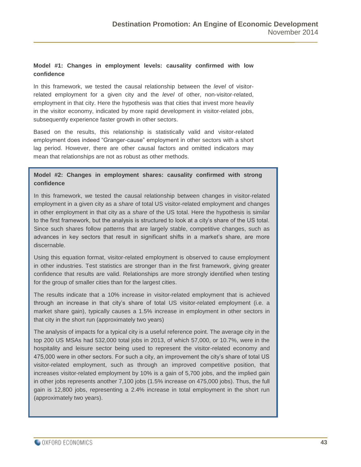#### **Model #1: Changes in employment levels: causality confirmed with low confidence**

In this framework, we tested the causal relationship between the *level* of visitorrelated employment for a given city and the *level* of other, non-visitor-related, employment in that city. Here the hypothesis was that cities that invest more heavily in the visitor economy, indicated by more rapid development in visitor-related jobs, subsequently experience faster growth in other sectors.

Based on the results, this relationship is statistically valid and visitor-related employment does indeed "Granger-cause" employment in other sectors with a short lag period. However, there are other causal factors and omitted indicators may mean that relationships are not as robust as other methods.

#### **Model #2: Changes in employment shares: causality confirmed with strong confidence**

In this framework, we tested the causal relationship between changes in visitor-related employment in a given city as a *share* of total US visitor-related employment and changes in other employment in that city as a *share* of the US total. Here the hypothesis is similar to the first framework, but the analysis is structured to look at a city's share of the US total. Since such shares follow patterns that are largely stable, competitive changes, such as advances in key sectors that result in significant shifts in a market's share, are more discernable.

Using this equation format, visitor-related employment is observed to cause employment in other industries. Test statistics are stronger than in the first framework, giving greater confidence that results are valid. Relationships are more strongly identified when testing for the group of smaller cities than for the largest cities.

The results indicate that a 10% increase in visitor-related employment that is achieved through an increase in that city's share of total US visitor-related employment (i.e. a market share gain), typically causes a 1.5% increase in employment in other sectors in that city in the short run (approximately two years)

The analysis of impacts for a typical city is a useful reference point. The average city in the top 200 US MSAs had 532,000 total jobs in 2013, of which 57,000, or 10.7%, were in the hospitality and leisure sector being used to represent the visitor-related economy and 475,000 were in other sectors. For such a city, an improvement the city's share of total US visitor-related employment, such as through an improved competitive position, that increases visitor-related employment by 10% is a gain of 5,700 jobs, and the implied gain in other jobs represents another 7,100 jobs (1.5% increase on 475,000 jobs). Thus, the full gain is 12,800 jobs, representing a 2.4% increase in total employment in the short run (approximately two years).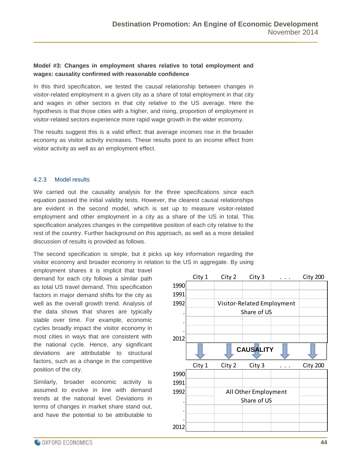#### **Model #3: Changes in employment shares relative to total employment and wages: causality confirmed with reasonable confidence**

In this third specification, we tested the causal relationship between changes in visitor-related employment in a given city as a *share* of total employment in that city and wages in other sectors in that city *relative* to the US average. Here the hypothesis is that those cities with a higher, and rising, proportion of employment in visitor-related sectors experience more rapid wage growth in the wider economy.

The results suggest this is a valid effect: that average incomes rise in the broader economy as visitor activity increases. These results point to an income effect from visitor activity as well as an employment effect.

#### <span id="page-43-0"></span>4.2.3 Model results

We carried out the causality analysis for the three specifications since each equation passed the initial validity tests. However, the clearest causal relationships are evident in the second model, which is set up to measure visitor-related employment and other employment in a city as a share of the US in total. This specification analyzes changes in the competitive position of each city relative to the rest of the country. Further background on this approach, as well as a more detailed discussion of results is provided as follows.

The second specification is simple, but it picks up key information regarding the visitor economy and broader economy in relation to the US in aggregate. By using

employment shares it is implicit that travel demand for each city follows a similar path as total US travel demand. This specification factors in major demand shifts for the city as well as the overall growth trend. Analysis of the data shows that shares are typically stable over time. For example, economic cycles broadly impact the visitor economy in most cities in ways that are consistent with the national cycle. Hence, any significant deviations are attributable to structural factors, such as a change in the competitive position of the city.

Similarly, broader economic activity is assumed to evolve in line with demand trends at the national level. Deviations in terms of changes in market share stand out, and have the potential to be attributable to

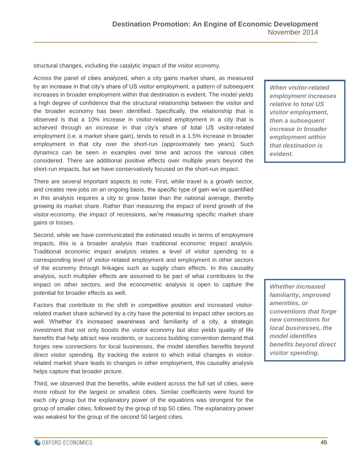structural changes, including the catalytic impact of the visitor economy.

Across the panel of cities analyzed, when a city gains market share, as measured by an increase in that city's share of US visitor employment, a pattern of subsequent increases in broader employment within that destination is evident. The model yields a high degree of confidence that the structural relationship between the visitor and the broader economy has been identified. Specifically, the relationship that is observed is that a 10% increase in visitor-related employment in a city that is achieved through an increase in that city's share of total US visitor-related employment (i.e. a market share gain), tends to result in a 1.5% increase in broader employment in that city over the short-run (approximately two years). Such dynamics can be seen in examples over time and across the various cities considered. There are additional positive effects over multiple years beyond the short-run impacts, but we have conservatively focused on the short-run impact.

There are several important aspects to note. First, while travel is a growth sector, and creates new jobs on an ongoing basis, the specific type of gain we've quantified in this analysis requires a city to grow faster than the national average, thereby growing its market share. Rather than measuring the impact of trend growth of the visitor-economy, the impact of recessions, we're measuring specific market share gains or losses.

Second, while we have communicated the estimated results in terms of employment impacts, this is a broader analysis than traditional economic impact analysis. Traditional economic impact analysis relates a level of visitor spending to a corresponding level of visitor-related employment and employment in other sectors of the economy through linkages such as supply chain effects. In this causality analysis, such multiplier effects are assumed to be part of what contributes to the impact on other sectors, and the econometric analysis is open to capture the potential for broader effects as well.

Factors that contribute to the shift in competitive position and increased visitorrelated market share achieved by a city have the potential to impact other sectors as well. Whether it's increased awareness and familiarity of a city, a strategic investment that not only boosts the visitor economy but also yields quality of life benefits that help attract new residents, or success building convention demand that forges new connections for local businesses, the model identifies benefits beyond direct visitor spending. By tracking the extent to which initial changes in visitorrelated market share leads to changes in other employment, this causality analysis helps capture that broader picture.

Third, we observed that the benefits, while evident across the full set of cities, were more robust for the largest or smallest cities. Similar coefficients were found for each city group but the explanatory power of the equations was strongest for the group of smaller cities, followed by the group of top 50 cities. The explanatory power was weakest for the group of the second 50 largest cities.

*When visitor-related employment increases relative to total US visitor employment, then a subsequent increase in broader employment within that destination is evident.*

*Whether increased familiarity, improved amenities, or conventions that forge new connections for local businesses, the model identifies benefits beyond direct visitor spending.*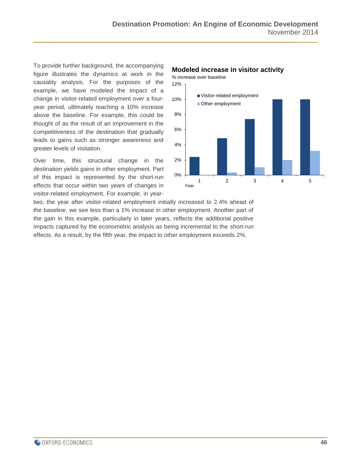To provide further background, the accompanying figure illustrates the dynamics at work in the causality analysis. For the purposes of the example, we have modeled the impact of a change in visitor-related employment over a fouryear period, ultimately reaching a 10% increase above the baseline. For example, this could be thought of as the result of an improvement in the competitiveness of the destination that gradually leads to gains such as stronger awareness and greater levels of visitation.

Over time, this structural change in the destination yields gains in other employment. Part of this impact is represented by the short-run effects that occur within two years of changes in visitor-related employment. For example, in year-

### 0% 2% 4% 6% 8% 10% 12% 1 2 3 4 5 Visitor-related employment Other employment Year

**Modeled increase in visitor activity**

% increase over baseline

two, the year after visitor-related employment initially increased to 2.4% ahead of the baseline, we see less than a 1% increase in other employment. Another part of the gain in this example, particularly in later years, reflects the additional positive impacts captured by the econometric analysis as being incremental to the short-run effects. As a result, by the fifth year, the impact to other employment exceeds 2%.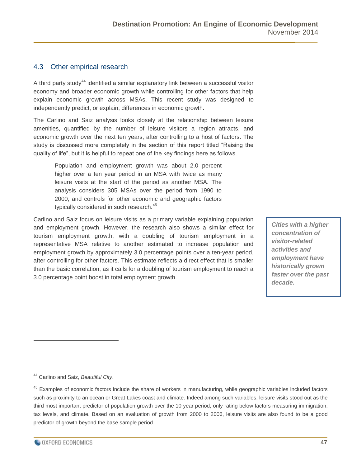#### <span id="page-46-0"></span>4.3 Other empirical research

A third party study<sup>44</sup> identified a similar explanatory link between a successful visitor economy and broader economic growth while controlling for other factors that help explain economic growth across MSAs. This recent study was designed to independently predict, or explain, differences in economic growth.

The Carlino and Saiz analysis looks closely at the relationship between leisure amenities, quantified by the number of leisure visitors a region attracts, and economic growth over the next ten years, after controlling to a host of factors. The study is discussed more completely in the section of this report titled "Raising the quality of life", but it is helpful to repeat one of the key findings here as follows.

Population and employment growth was about 2.0 percent higher over a ten year period in an MSA with twice as many leisure visits at the start of the period as another MSA. The analysis considers 305 MSAs over the period from 1990 to 2000, and controls for other economic and geographic factors typically considered in such research.<sup>45</sup>

Carlino and Saiz focus on leisure visits as a primary variable explaining population and employment growth. However, the research also shows a similar effect for tourism employment growth, with a doubling of tourism employment in a representative MSA relative to another estimated to increase population and employment growth by approximately 3.0 percentage points over a ten-year period, after controlling for other factors. This estimate reflects a direct effect that is smaller than the basic correlation, as it calls for a doubling of tourism employment to reach a 3.0 percentage point boost in total employment growth.

*Cities with a higher concentration of visitor-related activities and employment have historically grown faster over the past decade.*

<sup>44</sup> Carlino and Saiz, *Beautiful City*.

 $\overline{a}$ 

<sup>45</sup> Examples of economic factors include the share of workers in manufacturing, while geographic variables included factors such as proximity to an ocean or Great Lakes coast and climate. Indeed among such variables, leisure visits stood out as the third most important predictor of population growth over the 10 year period, only rating below factors measuring immigration, tax levels, and climate. Based on an evaluation of growth from 2000 to 2006, leisure visits are also found to be a good predictor of growth beyond the base sample period.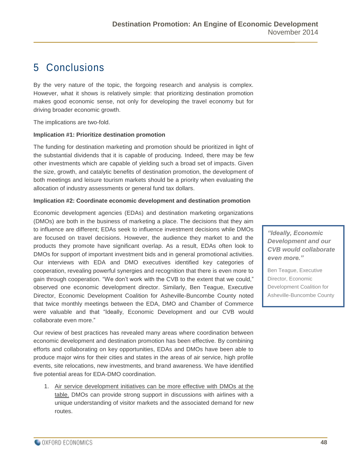## <span id="page-47-0"></span>5 Conclusions

By the very nature of the topic, the forgoing research and analysis is complex. However, what it shows is relatively simple: that prioritizing destination promotion makes good economic sense, not only for developing the travel economy but for driving broader economic growth.

The implications are two-fold.

#### **Implication #1: Prioritize destination promotion**

The funding for destination marketing and promotion should be prioritized in light of the substantial dividends that it is capable of producing. Indeed, there may be few other investments which are capable of yielding such a broad set of impacts. Given the size, growth, and catalytic benefits of destination promotion, the development of both meetings and leisure tourism markets should be a priority when evaluating the allocation of industry assessments or general fund tax dollars.

#### **Implication #2: Coordinate economic development and destination promotion**

Economic development agencies (EDAs) and destination marketing organizations (DMOs) are both in the business of marketing a place. The decisions that they aim to influence are different; EDAs seek to influence investment decisions while DMOs are focused on travel decisions. However, the audience they market to and the products they promote have significant overlap. As a result, EDAs often look to DMOs for support of important investment bids and in general promotional activities. Our interviews with EDA and DMO executives identified key categories of cooperation, revealing powerful synergies and recognition that there is even more to gain through cooperation. "We don't work with the CVB to the extent that we could," observed one economic development director. Similarly, Ben Teague, Executive Director, Economic Development Coalition for Asheville-Buncombe County noted that twice monthly meetings between the EDA, DMO and Chamber of Commerce were valuable and that "Ideally, Economic Development and our CVB would collaborate even more."

Our review of best practices has revealed many areas where coordination between economic development and destination promotion has been effective. By combining efforts and collaborating on key opportunities, EDAs and DMOs have been able to produce major wins for their cities and states in the areas of air service, high profile events, site relocations, new investments, and brand awareness. We have identified five potential areas for EDA-DMO coordination.

1. Air service development initiatives can be more effective with DMOs at the table. DMOs can provide strong support in discussions with airlines with a unique understanding of visitor markets and the associated demand for new routes.

*"Ideally, Economic Development and our CVB would collaborate even more."*

Ben Teague, Executive Director, Economic Development Coalition for Asheville-Buncombe County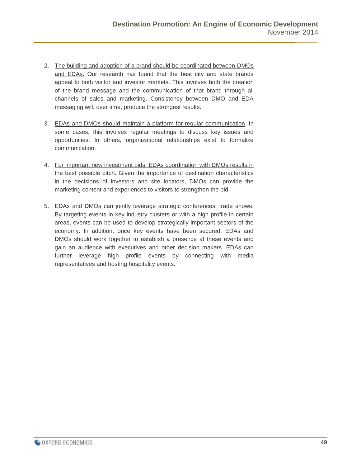- 2. The building and adoption of a brand should be coordinated between DMOs and EDAs. Our research has found that the best city and state brands appeal to both visitor and investor markets. This involves both the creation of the brand message and the communication of that brand through all channels of sales and marketing. Consistency between DMO and EDA messaging will, over time, produce the strongest results.
- 3. EDAs and DMOs should maintain a platform for regular communication. In some cases, this involves regular meetings to discuss key issues and opportunities. In others, organizational relationships exist to formalize communication.
- 4. For important new investment bids, EDAs coordination with DMOs results in the best possible pitch. Given the importance of destination characteristics in the decisions of investors and site locators, DMOs can provide the marketing content and experiences to visitors to strengthen the bid.
- 5. EDAs and DMOs can jointly leverage strategic conferences, trade shows. By targeting events in key industry clusters or with a high profile in certain areas, events can be used to develop strategically important sectors of the economy. In addition, once key events have been secured, EDAs and DMOs should work together to establish a presence at these events and gain an audience with executives and other decision makers. EDAs can further leverage high profile events by connecting with media representatives and hosting hospitality events.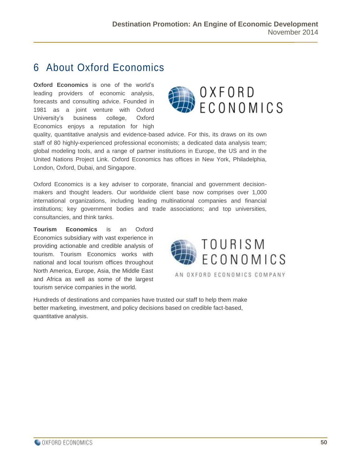## <span id="page-49-0"></span>6 About Oxford Economics

**Oxford Economics** is one of the world's leading providers of economic analysis, forecasts and consulting advice. Founded in 1981 as a joint venture with Oxford University's business college, Oxford Economics enjoys a reputation for high



quality, quantitative analysis and evidence-based advice. For this, its draws on its own staff of 80 highly-experienced professional economists; a dedicated data analysis team; global modeling tools, and a range of partner institutions in Europe, the US and in the United Nations Project Link. Oxford Economics has offices in New York, Philadelphia, London, Oxford, Dubai, and Singapore.

Oxford Economics is a key adviser to corporate, financial and government decisionmakers and thought leaders. Our worldwide client base now comprises over 1,000 international organizations, including leading multinational companies and financial institutions; key government bodies and trade associations; and top universities, consultancies, and think tanks.

**Tourism Economics** is an Oxford Economics subsidiary with vast experience in providing actionable and credible analysis of tourism. Tourism Economics works with national and local tourism offices throughout North America, Europe, Asia, the Middle East and Africa as well as some of the largest tourism service companies in the world.



AN OXFORD ECONOMICS COMPANY

Hundreds of destinations and companies have trusted our staff to help them make better marketing, investment, and policy decisions based on credible fact-based, quantitative analysis.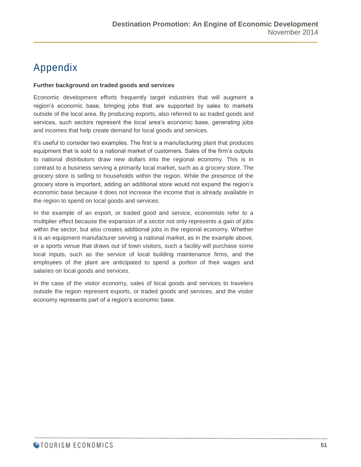## <span id="page-50-0"></span>Appendix

#### **Further background on traded goods and services**

Economic development efforts frequently target industries that will augment a region's economic base, bringing jobs that are supported by sales to markets outside of the local area. By producing exports, also referred to as traded goods and services, such sectors represent the local area's economic base, generating jobs and incomes that help create demand for local goods and services.

It's useful to consider two examples. The first is a manufacturing plant that produces equipment that is sold to a national market of customers. Sales of the firm's outputs to national distributors draw new dollars into the regional economy. This is in contrast to a business serving a primarily local market, such as a grocery store. The grocery store is selling to households within the region. While the presence of the grocery store is important, adding an additional store would not expand the region's economic base because it does not increase the income that is already available in the region to spend on local goods and services.

In the example of an export, or traded good and service, economists refer to a multiplier effect because the expansion of a sector not only represents a gain of jobs within the sector, but also creates additional jobs in the regional economy. Whether it is an equipment manufacturer serving a national market, as in the example above, or a sports venue that draws out of town visitors, such a facility will purchase some local inputs, such as the service of local building maintenance firms, and the employees of the plant are anticipated to spend a portion of their wages and salaries on local goods and services.

In the case of the visitor economy, sales of local goods and services to travelers outside the region represent exports, or traded goods and services, and the visitor economy represents part of a region's economic base.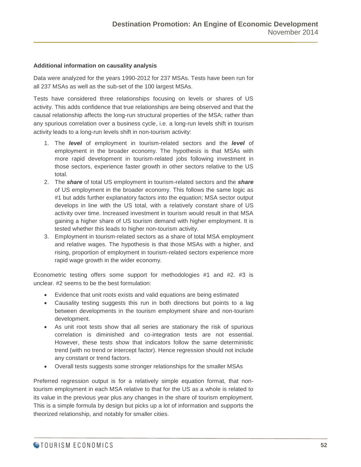#### **Additional information on causality analysis**

Data were analyzed for the years 1990-2012 for 237 MSAs. Tests have been run for all 237 MSAs as well as the sub-set of the 100 largest MSAs.

Tests have considered three relationships focusing on levels or shares of US activity. This adds confidence that true relationships are being observed and that the causal relationship affects the long-run structural properties of the MSA; rather than any spurious correlation over a business cycle, i.e. a long-run levels shift in tourism activity leads to a long-run levels shift in non-tourism activity:

- 1. The *level* of employment in tourism-related sectors and the *level* of employment in the broader economy. The hypothesis is that MSAs with more rapid development in tourism-related jobs following investment in those sectors, experience faster growth in other sectors relative to the US total.
- 2. The *share* of total US employment in tourism-related sectors and the *share* of US employment in the broader economy. This follows the same logic as #1 but adds further explanatory factors into the equation; MSA sector output develops in line with the US total, with a relatively constant share of US activity over time. Increased investment in tourism would result in that MSA gaining a higher share of US tourism demand with higher employment. It is tested whether this leads to higher non-tourism activity.
- 3. Employment in tourism-related sectors as a share of total MSA employment and relative wages. The hypothesis is that those MSAs with a higher, and rising, proportion of employment in tourism-related sectors experience more rapid wage growth in the wider economy.

Econometric testing offers some support for methodologies #1 and #2. #3 is unclear. #2 seems to be the best formulation:

- Evidence that unit roots exists and valid equations are being estimated
- Causality testing suggests this run in both directions but points to a lag between developments in the tourism employment share and non-tourism development.
- As unit root tests show that all series are stationary the risk of spurious correlation is diminished and co-integration tests are not essential. However, these tests show that indicators follow the same deterministic trend (with no trend or intercept factor). Hence regression should not include any constant or trend factors.
- Overall tests suggests some stronger relationships for the smaller MSAs

Preferred regression output is for a relatively simple equation format, that nontourism employment in each MSA relative to that for the US as a whole is related to its value in the previous year plus any changes in the share of tourism employment. This is a simple formula by design but picks up a lot of information and supports the theorized relationship, and notably for smaller cities.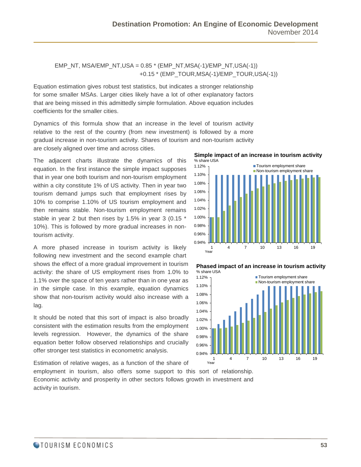#### EMP\_NT, MSA/EMP\_NT, USA =  $0.85$  \* (EMP\_NT, MSA(-1)/EMP\_NT, USA(-1)) +0.15 \* (EMP\_TOUR,MSA(-1)/EMP\_TOUR,USA(-1))

Equation estimation gives robust test statistics, but indicates a stronger relationship for some smaller MSAs. Larger cities likely have a lot of other explanatory factors that are being missed in this admittedly simple formulation. Above equation includes coefficients for the smaller cities.

Dynamics of this formula show that an increase in the level of tourism activity relative to the rest of the country (from new investment) is followed by a more gradual increase in non-tourism activity. Shares of tourism and non-tourism activity are closely aligned over time and across cities.

The adjacent charts illustrate the dynamics of this equation. In the first instance the simple impact supposes that in year one both tourism and non-tourism employment within a city constitute 1% of US activity. Then in year two tourism demand jumps such that employment rises by 10% to comprise 1.10% of US tourism employment and then remains stable. Non-tourism employment remains stable in year 2 but then rises by 1.5% in year 3 (0.15 \* 10%). This is followed by more gradual increases in nontourism activity.

A more phased increase in tourism activity is likely following new investment and the second example chart shows the effect of a more gradual improvement in tourism activity: the share of US employment rises from 1.0% to 1.1% over the space of ten years rather than in one year as in the simple case. In this example, equation dynamics show that non-tourism activity would also increase with a lag.

It should be noted that this sort of impact is also broadly consistent with the estimation results from the employment levels regression. However, the dynamics of the share equation better follow observed relationships and crucially offer stronger test statistics in econometric analysis.

Estimation of relative wages, as a function of the share of

employment in tourism, also offers some support to this sort of relationship. Economic activity and prosperity in other sectors follows growth in investment and activity in tourism.







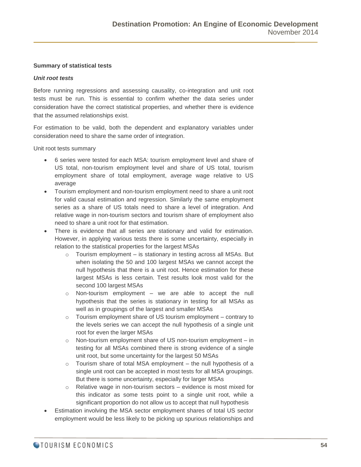#### **Summary of statistical tests**

#### *Unit root tests*

Before running regressions and assessing causality, co-integration and unit root tests must be run. This is essential to confirm whether the data series under consideration have the correct statistical properties, and whether there is evidence that the assumed relationships exist.

For estimation to be valid, both the dependent and explanatory variables under consideration need to share the same order of integration.

Unit root tests summary

- 6 series were tested for each MSA: tourism employment level and share of US total, non-tourism employment level and share of US total, tourism employment share of total employment, average wage relative to US average
- Tourism employment and non-tourism employment need to share a unit root for valid causal estimation and regression. Similarly the same employment series as a share of US totals need to share a level of integration. And relative wage in non-tourism sectors and tourism share of employment also need to share a unit root for that estimation.
- There is evidence that all series are stationary and valid for estimation. However, in applying various tests there is some uncertainty, especially in relation to the statistical properties for the largest MSAs
	- o Tourism employment is stationary in testing across all MSAs. But when isolating the 50 and 100 largest MSAs we cannot accept the null hypothesis that there is a unit root. Hence estimation for these largest MSAs is less certain. Test results look most valid for the second 100 largest MSAs
	- o Non-tourism employment we are able to accept the null hypothesis that the series is stationary in testing for all MSAs as well as in groupings of the largest and smaller MSAs
	- o Tourism employment share of US tourism employment contrary to the levels series we can accept the null hypothesis of a single unit root for even the larger MSAs
	- o Non-tourism employment share of US non-tourism employment in testing for all MSAs combined there is strong evidence of a single unit root, but some uncertainty for the largest 50 MSAs
	- $\circ$  Tourism share of total MSA employment the null hypothesis of a single unit root can be accepted in most tests for all MSA groupings. But there is some uncertainty, especially for larger MSAs
	- o Relative wage in non-tourism sectors evidence is most mixed for this indicator as some tests point to a single unit root, while a significant proportion do not allow us to accept that null hypothesis
- Estimation involving the MSA sector employment shares of total US sector employment would be less likely to be picking up spurious relationships and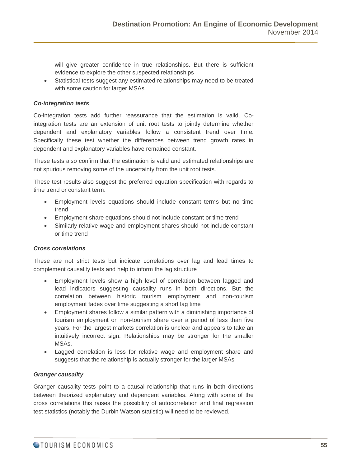will give greater confidence in true relationships. But there is sufficient evidence to explore the other suspected relationships

 Statistical tests suggest any estimated relationships may need to be treated with some caution for larger MSAs.

#### *Co-integration tests*

Co-integration tests add further reassurance that the estimation is valid. Cointegration tests are an extension of unit root tests to jointly determine whether dependent and explanatory variables follow a consistent trend over time. Specifically these test whether the differences between trend growth rates in dependent and explanatory variables have remained constant.

These tests also confirm that the estimation is valid and estimated relationships are not spurious removing some of the uncertainty from the unit root tests.

These test results also suggest the preferred equation specification with regards to time trend or constant term.

- Employment levels equations should include constant terms but no time trend
- Employment share equations should not include constant or time trend
- Similarly relative wage and employment shares should not include constant or time trend

#### *Cross correlations*

These are not strict tests but indicate correlations over lag and lead times to complement causality tests and help to inform the lag structure

- Employment levels show a high level of correlation between lagged and lead indicators suggesting causality runs in both directions. But the correlation between historic tourism employment and non-tourism employment fades over time suggesting a short lag time
- Employment shares follow a similar pattern with a diminishing importance of tourism employment on non-tourism share over a period of less than five years. For the largest markets correlation is unclear and appears to take an intuitively incorrect sign. Relationships may be stronger for the smaller MSAs.
- Lagged correlation is less for relative wage and employment share and suggests that the relationship is actually stronger for the larger MSAs

#### *Granger causality*

Granger causality tests point to a causal relationship that runs in both directions between theorized explanatory and dependent variables. Along with some of the cross correlations this raises the possibility of autocorrelation and final regression test statistics (notably the Durbin Watson statistic) will need to be reviewed.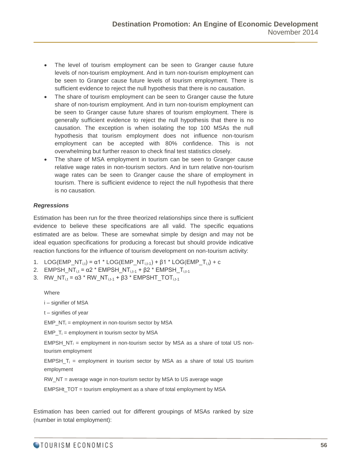- The level of tourism employment can be seen to Granger cause future levels of non-tourism employment. And in turn non-tourism employment can be seen to Granger cause future levels of tourism employment. There is sufficient evidence to reject the null hypothesis that there is no causation.
- The share of tourism employment can be seen to Granger cause the future share of non-tourism employment. And in turn non-tourism employment can be seen to Granger cause future shares of tourism employment. There is generally sufficient evidence to reject the null hypothesis that there is no causation. The exception is when isolating the top 100 MSAs the null hypothesis that tourism employment does not influence non-tourism employment can be accepted with 80% confidence. This is not overwhelming but further reason to check final test statistics closely.
- The share of MSA employment in tourism can be seen to Granger cause relative wage rates in non-tourism sectors. And in turn relative non-tourism wage rates can be seen to Granger cause the share of employment in tourism. There is sufficient evidence to reject the null hypothesis that there is no causation.

#### *Regressions*

Estimation has been run for the three theorized relationships since there is sufficient evidence to believe these specifications are all valid. The specific equations estimated are as below. These are somewhat simple by design and may not be ideal equation specifications for producing a forecast but should provide indicative reaction functions for the influence of tourism development on non-tourism activity:

- 1. LOG(EMP\_NT<sub>i,t</sub>) =  $\alpha$ 1 \* LOG(EMP\_NT<sub>i,t-1</sub>) +  $\beta$ 1 \* LOG(EMP\_T<sub>i,t</sub>) + c
- 2. EMPSH\_NT<sub>i,t</sub> =  $\alpha$ 2 \* EMPSH\_NT<sub>i,t-1</sub> +  $\beta$ 2 \* EMPSH\_T<sub>i,t-1</sub>
- 3. RW\_NT<sub>i,t</sub> =  $\alpha$ 3 \* RW\_NT<sub>i,t-1</sub> +  $\beta$ 3 \* EMPSHT\_TOT<sub>i,t-1</sub>

**Where** 

i – signifier of MSA

t – signifies of year

 $EMP_NT_i = \text{employment in non-tourism sector by MSA}$ 

 $EMP_T_i$  = employment in tourism sector by MSA

 $EMPSH_NT_i$  = employment in non-tourism sector by MSA as a share of total US nontourism employment

EMPSH  $T_i$  = employment in tourism sector by MSA as a share of total US tourism employment

RW\_NT = average wage in non-tourism sector by MSA to US average wage

EMPSHt\_TOT = tourism employment as a share of total employment by MSA

Estimation has been carried out for different groupings of MSAs ranked by size (number in total employment):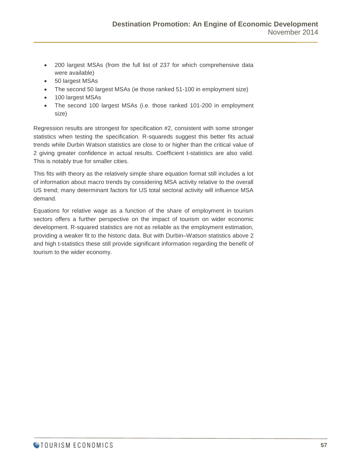- 200 largest MSAs (from the full list of 237 for which comprehensive data were available)
- 50 largest MSAs
- The second 50 largest MSAs (ie those ranked 51-100 in employment size)
- 100 largest MSAs
- The second 100 largest MSAs (i.e. those ranked 101-200 in employment size)

Regression results are strongest for specification #2, consistent with some stronger statistics when testing the specification. R-squareds suggest this better fits actual trends while Durbin Watson statistics are close to or higher than the critical value of 2 giving greater confidence in actual results. Coefficient t-statistics are also valid. This is notably true for smaller cities.

This fits with theory as the relatively simple share equation format still includes a lot of information about macro trends by considering MSA activity relative to the overall US trend; many determinant factors for US total sectoral activity will influence MSA demand.

Equations for relative wage as a function of the share of employment in tourism sectors offers a further perspective on the impact of tourism on wider economic development. R-squared statistics are not as reliable as the employment estimation, providing a weaker fit to the historic data. But with Durbin–Watson statistics above 2 and high t-statistics these still provide significant information regarding the benefit of tourism to the wider economy.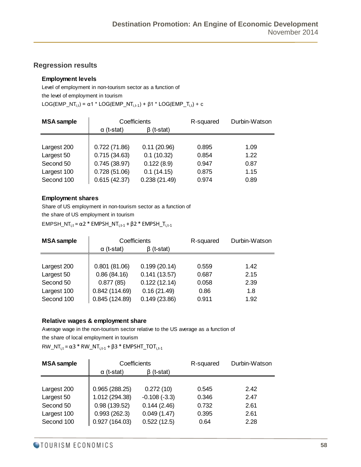#### **Regression results**

#### **Employment levels**

Level of employment in non-tourism sector as a function of the level of employment in tourism LOG(EMP\_NT<sub>i,t</sub>) = α1 \* LOG(EMP\_NT<sub>i,t-1</sub>) + β1 \* LOG(EMP\_T<sub>i,t</sub>) + c

| <b>MSA</b> sample | Coefficients      |                  | R-squared | Durbin-Watson |
|-------------------|-------------------|------------------|-----------|---------------|
|                   | $\alpha$ (t-stat) | $\beta$ (t-stat) |           |               |
|                   |                   |                  |           |               |
| Largest 200       | 0.722(71.86)      | 0.11(20.96)      | 0.895     | 1.09          |
| Largest 50        | 0.715(34.63)      | 0.1(10.32)       | 0.854     | 1.22          |
| Second 50         | 0.745(38.97)      | 0.122(8.9)       | 0.947     | 0.87          |
| Largest 100       | 0.728(51.06)      | 0.1(14.15)       | 0.875     | 1.15          |
| Second 100        | 0.615(42.37)      | 0.238(21.49)     | 0.974     | 0.89          |

#### **Employment shares**

Share of US employment in non-tourism sector as a function of

the share of US employment in tourism

EMPSH\_NT<sub>i,t</sub> = α2 \* EMPSH\_NT<sub>i,t-1</sub> + β2 \* EMPSH\_T<sub>i,t-1</sub>

| <b>MSA</b> sample | Coefficients      |                  | R-squared | Durbin-Watson |
|-------------------|-------------------|------------------|-----------|---------------|
|                   | $\alpha$ (t-stat) | $\beta$ (t-stat) |           |               |
|                   |                   |                  |           |               |
| Largest 200       | 0.801(81.06)      | 0.199(20.14)     | 0.559     | 1.42          |
| Largest 50        | 0.86(84.16)       | 0.141(13.57)     | 0.687     | 2.15          |
| Second 50         | 0.877(85)         | 0.122(12.14)     | 0.058     | 2.39          |
| Largest 100       | 0.842(114.69)     | 0.16(21.49)      | 0.86      | 1.8           |
| Second 100        | 0.845(124.89)     | 0.149(23.86)     | 0.911     | 1.92          |

#### **Relative wages & employment share**

Average wage in the non-tourism sector relative to the US average as a function of

the share of local employment in tourism

 $RW\_NT_{i,t} = \alpha 3 * RW\_NT_{i,t-1} + \beta 3 * EMPSHT\_TOT_{i,t-1}$ 

| <b>MSA</b> sample | Coefficients      |                  | Durbin-Watson<br>R-squared |      |
|-------------------|-------------------|------------------|----------------------------|------|
|                   | $\alpha$ (t-stat) | $\beta$ (t-stat) |                            |      |
|                   |                   |                  |                            |      |
| Largest 200       | 0.965(288.25)     | 0.272(10)        | 0.545                      | 2.42 |
| Largest 50        | 1.012 (294.38)    | $-0.108(-3.3)$   | 0.346                      | 2.47 |
| Second 50         | 0.98(139.52)      | 0.144(2.46)      | 0.732                      | 2.61 |
| Largest 100       | 0.993(262.3)      | 0.049(1.47)      | 0.395                      | 2.61 |
| Second 100        | 0.927(164.03)     | 0.522(12.5)      | 0.64                       | 2.28 |